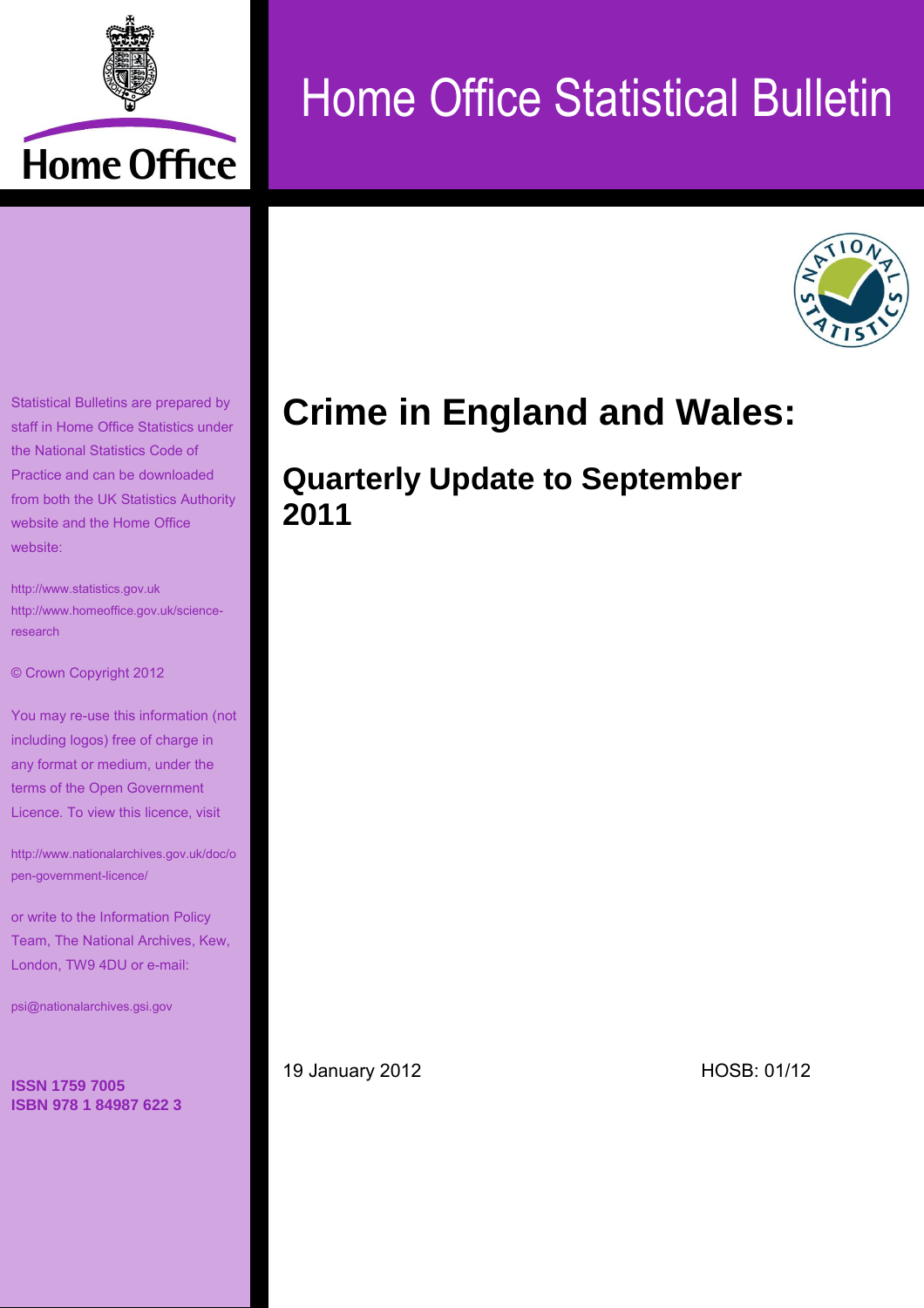

# Home Office Statistical Bulletin



Statistical Bulletins are prepared by staff in Home Office Statistics under the National Statistics Code of Practice and can be downloaded from both the UK Statistics Authority website and the Home Office website:

[http://www.statistics.gov.uk](http://www.statistics.gov.uk/) [http://www.homeoffice.gov.uk/science](http://www.homeoffice.gov.uk/science-research)[research](http://www.homeoffice.gov.uk/science-research)

© Crown Copyright 2012

You may re-use this information (not including logos) free of charge in any format or medium, under the terms of the Open Government Licence. To view this licence, visit

[http://www.nationalarchives.gov.uk/doc/o](http://www.nationalarchives.gov.uk/doc/open-government-licence/) [pen-government-licence/](http://www.nationalarchives.gov.uk/doc/open-government-licence/)

or write to the Information Policy Team, The National Archives, Kew, London, TW9 4DU or e-mail:

[psi@nationalarchives.gsi.gov](mailto:psi@nationalarchives.gsi.gov)

**ISSN 1759 7005 ISBN 978 1 84987 622 3**

# **Crime in England and Wales:**

# **Quarterly Update to September 2011**

19 January 2012 HOSB: 01/12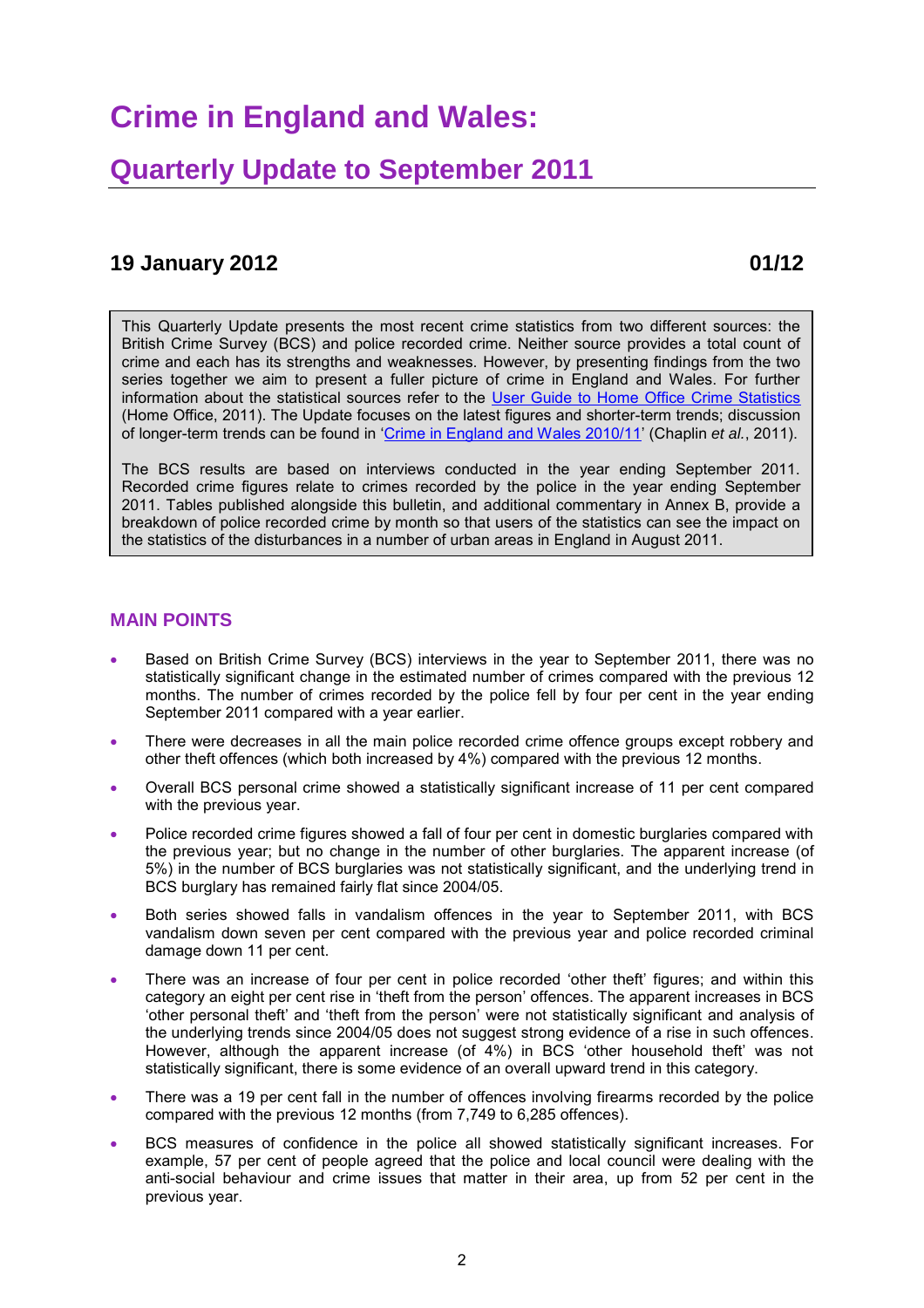## **Crime in England and Wales:**

### **Quarterly Update to September 2011**

#### **19 January 2012 01/12**

This Quarterly Update presents the most recent crime statistics from two different sources: the British Crime Survey (BCS) and police recorded crime. Neither source provides a total count of crime and each has its strengths and weaknesses. However, by presenting findings from the two series together we aim to present a fuller picture of crime in England and Wales. For further information about the statistical sources refer to the [User Guide to Home Office Crime Statistics](http://www.homeoffice.gov.uk/publications/science-research-statistics/research-statistics/crime-research/user-guide-crime-statistics/) (Home Office, 2011). The Update focuses on the latest figures and shorter-term trends; discussion of longer-term trends can be found in ['Crime in England and Wales 2010/11'](http://www.homeoffice.gov.uk/publications/science-research-statistics/research-statistics/crime-research/hosb1011/?view=Standard&pubID=908823) (Chaplin *et al.*, 2011).

The BCS results are based on interviews conducted in the year ending September 2011. Recorded crime figures relate to crimes recorded by the police in the year ending September 2011. Tables published alongside this bulletin, and additional commentary in Annex B, provide a breakdown of police recorded crime by month so that users of the statistics can see the impact on the statistics of the disturbances in a number of urban areas in England in August 2011.

#### **MAIN POINTS**

- Based on British Crime Survey (BCS) interviews in the year to September 2011, there was no statistically significant change in the estimated number of crimes compared with the previous 12 months. The number of crimes recorded by the police fell by four per cent in the year ending September 2011 compared with a year earlier.
- There were decreases in all the main police recorded crime offence groups except robbery and other theft offences (which both increased by 4%) compared with the previous 12 months.
- Overall BCS personal crime showed a statistically significant increase of 11 per cent compared with the previous year.
- Police recorded crime figures showed a fall of four per cent in domestic burglaries compared with the previous year; but no change in the number of other burglaries. The apparent increase (of 5%) in the number of BCS burglaries was not statistically significant, and the underlying trend in BCS burglary has remained fairly flat since 2004/05.
- Both series showed falls in vandalism offences in the year to September 2011, with BCS vandalism down seven per cent compared with the previous year and police recorded criminal damage down 11 per cent.
- There was an increase of four per cent in police recorded 'other theft' figures; and within this category an eight per cent rise in 'theft from the person' offences. The apparent increases in BCS 'other personal theft' and 'theft from the person' were not statistically significant and analysis of the underlying trends since 2004/05 does not suggest strong evidence of a rise in such offences. However, although the apparent increase (of 4%) in BCS 'other household theft' was not statistically significant, there is some evidence of an overall upward trend in this category.
- There was a 19 per cent fall in the number of offences involving firearms recorded by the police compared with the previous 12 months (from 7,749 to 6,285 offences).
- BCS measures of confidence in the police all showed statistically significant increases. For example, 57 per cent of people agreed that the police and local council were dealing with the anti-social behaviour and crime issues that matter in their area, up from 52 per cent in the previous year.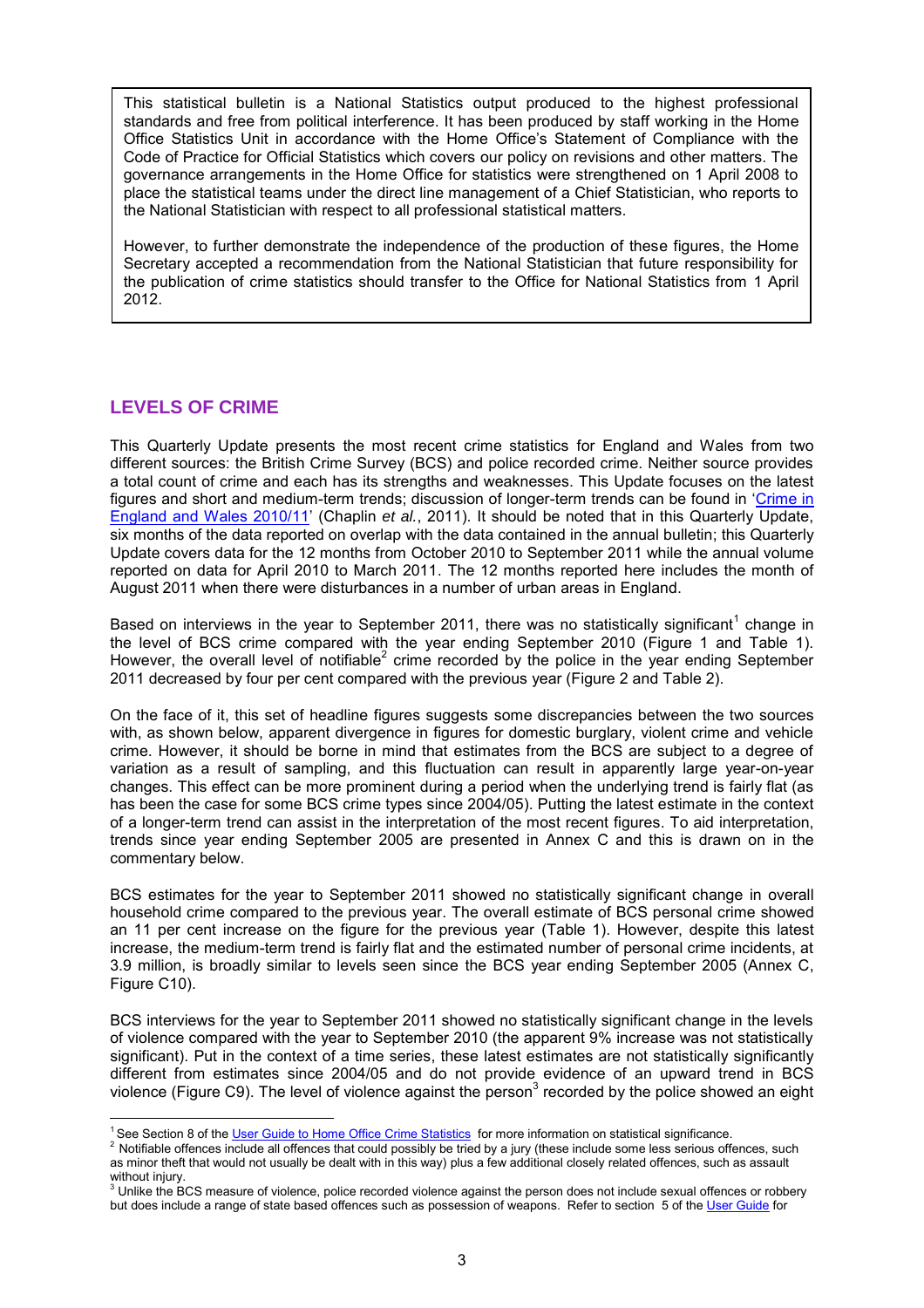This statistical bulletin is a National Statistics output produced to the highest professional standards and free from political interference. It has been produced by staff working in the Home Office Statistics Unit in accordance with the Home Office's Statement of Compliance with the Code of Practice for Official Statistics which covers our policy on revisions and other matters. The governance arrangements in the Home Office for statistics were strengthened on 1 April 2008 to place the statistical teams under the direct line management of a Chief Statistician, who reports to the National Statistician with respect to all professional statistical matters.

However, to further demonstrate the independence of the production of these figures, the Home Secretary accepted a recommendation from the National Statistician that future responsibility for the publication of crime statistics should transfer to the Office for National Statistics from 1 April 2012.

#### **LEVELS OF CRIME**

 $\overline{a}$ 

This Quarterly Update presents the most recent crime statistics for England and Wales from two different sources: the British Crime Survey (BCS) and police recorded crime. Neither source provides a total count of crime and each has its strengths and weaknesses. This Update focuses on the latest figures and short and medium-term trends; discussion of longer-term trends can be found in 'Crime in [England and Wales 2010/11'](http://www.homeoffice.gov.uk/publications/science-research-statistics/research-statistics/crime-research/hosb1011/?view=Standard&pubID=908823) (Chaplin *et al.*, 2011). It should be noted that in this Quarterly Update, six months of the data reported on overlap with the data contained in the annual bulletin; this Quarterly Update covers data for the 12 months from October 2010 to September 2011 while the annual volume reported on data for April 2010 to March 2011. The 12 months reported here includes the month of August 2011 when there were disturbances in a number of urban areas in England.

Based on interviews in the year to September 2011, there was no statistically significant<sup>1</sup> change in the level of BCS crime compared with the year ending September 2010 (Figure 1 and Table 1). However, the overall level of notifiable<sup>2</sup> crime recorded by the police in the year ending September 2011 decreased by four per cent compared with the previous year (Figure 2 and Table 2).

On the face of it, this set of headline figures suggests some discrepancies between the two sources with, as shown below, apparent divergence in figures for domestic burglary, violent crime and vehicle crime. However, it should be borne in mind that estimates from the BCS are subject to a degree of variation as a result of sampling, and this fluctuation can result in apparently large year-on-year changes. This effect can be more prominent during a period when the underlying trend is fairly flat (as has been the case for some BCS crime types since 2004/05). Putting the latest estimate in the context of a longer-term trend can assist in the interpretation of the most recent figures. To aid interpretation, trends since year ending September 2005 are presented in Annex C and this is drawn on in the commentary below.

BCS estimates for the year to September 2011 showed no statistically significant change in overall household crime compared to the previous year. The overall estimate of BCS personal crime showed an 11 per cent increase on the figure for the previous year (Table 1). However, despite this latest increase, the medium-term trend is fairly flat and the estimated number of personal crime incidents, at 3.9 million, is broadly similar to levels seen since the BCS year ending September 2005 (Annex C, Figure C10).

BCS interviews for the year to September 2011 showed no statistically significant change in the levels of violence compared with the year to September 2010 (the apparent 9% increase was not statistically significant). Put in the context of a time series, these latest estimates are not statistically significantly different from estimates since 2004/05 and do not provide evidence of an upward trend in BCS violence (Figure C9). The level of violence against the person<sup>3</sup> recorded by the police showed an eight

<sup>&</sup>lt;sup>1</sup> See Section 8 of th[e User Guide to Home Office Crime Statistics](http://www.homeoffice.gov.uk/publications/science-research-statistics/research-statistics/crime-research/user-guide-crime-statistics/) for more information on statistical significance.

<sup>&</sup>lt;sup>2</sup> Notifiable offences include all offences that could possibly be tried by a jury (these include some less serious offences, such as minor theft that would not usually be dealt with in this way) plus a few additional closely related offences, such as assault without injury.

 $3$  Unlike the BCS measure of violence, police recorded violence against the person does not include sexual offences or robbery but does include a range of state based offences such as possession of weapons. Refer to section 5 of th[e User Guide](http://www.homeoffice.gov.uk/publications/science-research-statistics/research-statistics/crime-research/user-guide-crime-statistics/) for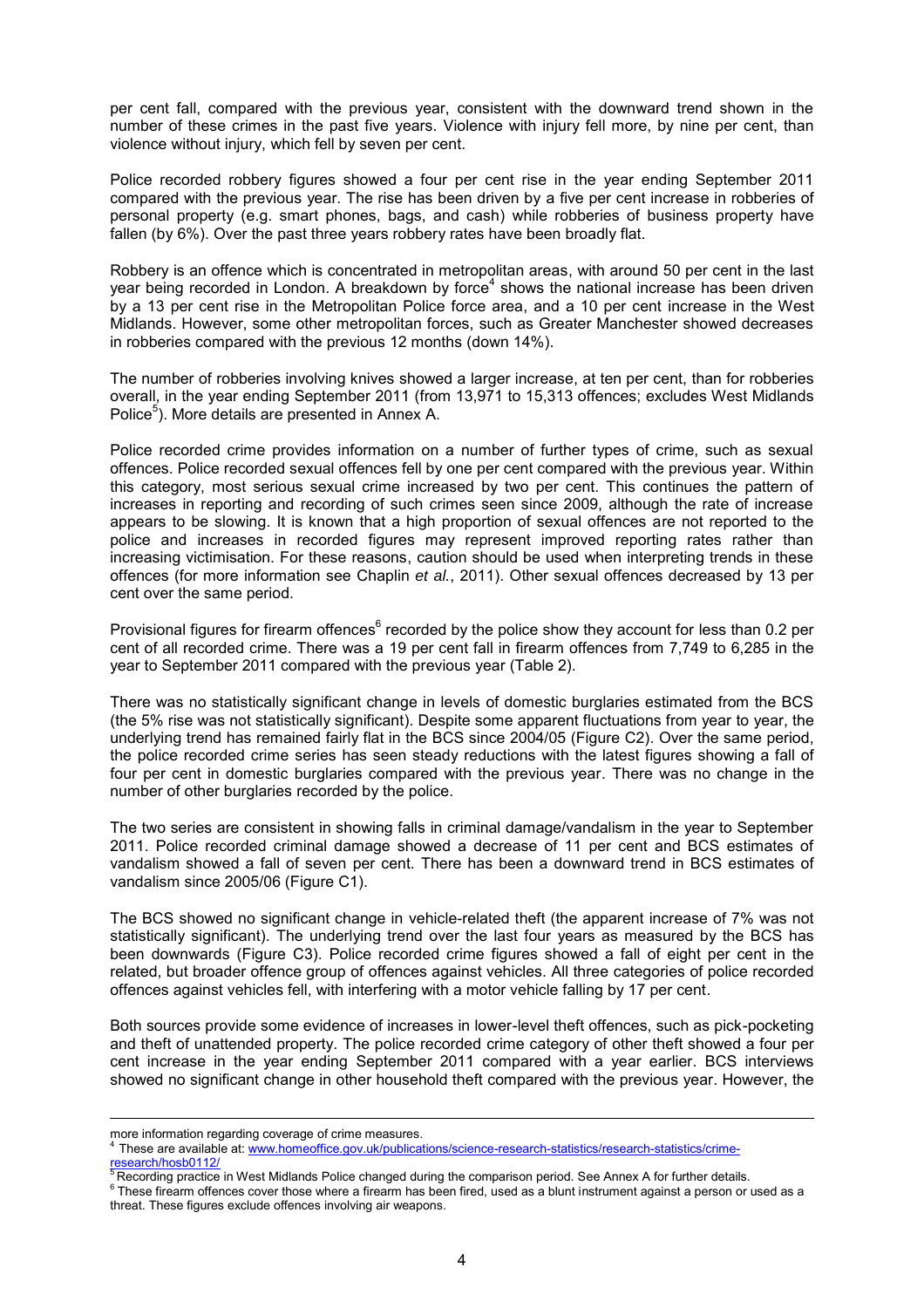per cent fall, compared with the previous year, consistent with the downward trend shown in the number of these crimes in the past five years. Violence with injury fell more, by nine per cent, than violence without injury, which fell by seven per cent.

Police recorded robbery figures showed a four per cent rise in the year ending September 2011 compared with the previous year. The rise has been driven by a five per cent increase in robberies of personal property (e.g. smart phones, bags, and cash) while robberies of business property have fallen (by 6%). Over the past three years robbery rates have been broadly flat.

Robbery is an offence which is concentrated in metropolitan areas, with around 50 per cent in the last year being recorded in London. A breakdown by force<sup>4</sup> shows the national increase has been driven by a 13 per cent rise in the Metropolitan Police force area, and a 10 per cent increase in the West Midlands. However, some other metropolitan forces, such as Greater Manchester showed decreases in robberies compared with the previous 12 months (down 14%).

The number of robberies involving knives showed a larger increase, at ten per cent, than for robberies overall, in the year ending September 2011 (from 13,971 to 15,313 offences; excludes West Midlands Police<sup>5</sup>). More details are presented in Annex A.

Police recorded crime provides information on a number of further types of crime, such as sexual offences. Police recorded sexual offences fell by one per cent compared with the previous year. Within this category, most serious sexual crime increased by two per cent. This continues the pattern of increases in reporting and recording of such crimes seen since 2009, although the rate of increase appears to be slowing. It is known that a high proportion of sexual offences are not reported to the police and increases in recorded figures may represent improved reporting rates rather than increasing victimisation. For these reasons, caution should be used when interpreting trends in these offences (for more information see Chaplin *et al.*, 2011). Other sexual offences decreased by 13 per cent over the same period.

Provisional figures for firearm offences<sup>6</sup> recorded by the police show they account for less than 0.2 per cent of all recorded crime. There was a 19 per cent fall in firearm offences from 7,749 to 6,285 in the year to September 2011 compared with the previous year (Table 2).

There was no statistically significant change in levels of domestic burglaries estimated from the BCS (the 5% rise was not statistically significant). Despite some apparent fluctuations from year to year, the underlying trend has remained fairly flat in the BCS since 2004/05 (Figure C2). Over the same period, the police recorded crime series has seen steady reductions with the latest figures showing a fall of four per cent in domestic burglaries compared with the previous year. There was no change in the number of other burglaries recorded by the police.

The two series are consistent in showing falls in criminal damage/vandalism in the year to September 2011. Police recorded criminal damage showed a decrease of 11 per cent and BCS estimates of vandalism showed a fall of seven per cent. There has been a downward trend in BCS estimates of vandalism since 2005/06 (Figure C1).

The BCS showed no significant change in vehicle-related theft (the apparent increase of 7% was not statistically significant). The underlying trend over the last four years as measured by the BCS has been downwards (Figure C3). Police recorded crime figures showed a fall of eight per cent in the related, but broader offence group of offences against vehicles. All three categories of police recorded offences against vehicles fell, with interfering with a motor vehicle falling by 17 per cent.

Both sources provide some evidence of increases in lower-level theft offences, such as pick-pocketing and theft of unattended property. The police recorded crime category of other theft showed a four per cent increase in the year ending September 2011 compared with a year earlier. BCS interviews showed no significant change in other household theft compared with the previous year. However, the

 $\overline{a}$ 

more information regarding coverage of crime measures.

<sup>4</sup> These are availabl[e at:](http://at/) [www.homeoffice.gov.uk/publications/science-research-statistics/research-statistics/crime](http://www.homeoffice.gov.uk/publications/science-research-statistics/research-statistics/crime-research/hosb0112/)<u>[research/hosb0112/](http://www.homeoffice.gov.uk/publications/science-research-statistics/research-statistics/crime-research/hosb0112/)</u><br><sup>5</sup> Recording practice in West Midlands Police changed during the comparison period. See Annex A for further details.

 $^6$  These firearm offences cover those where a firearm has been fired, used as a blunt instrument against a person or used as a threat. These figures exclude offences involving air weapons.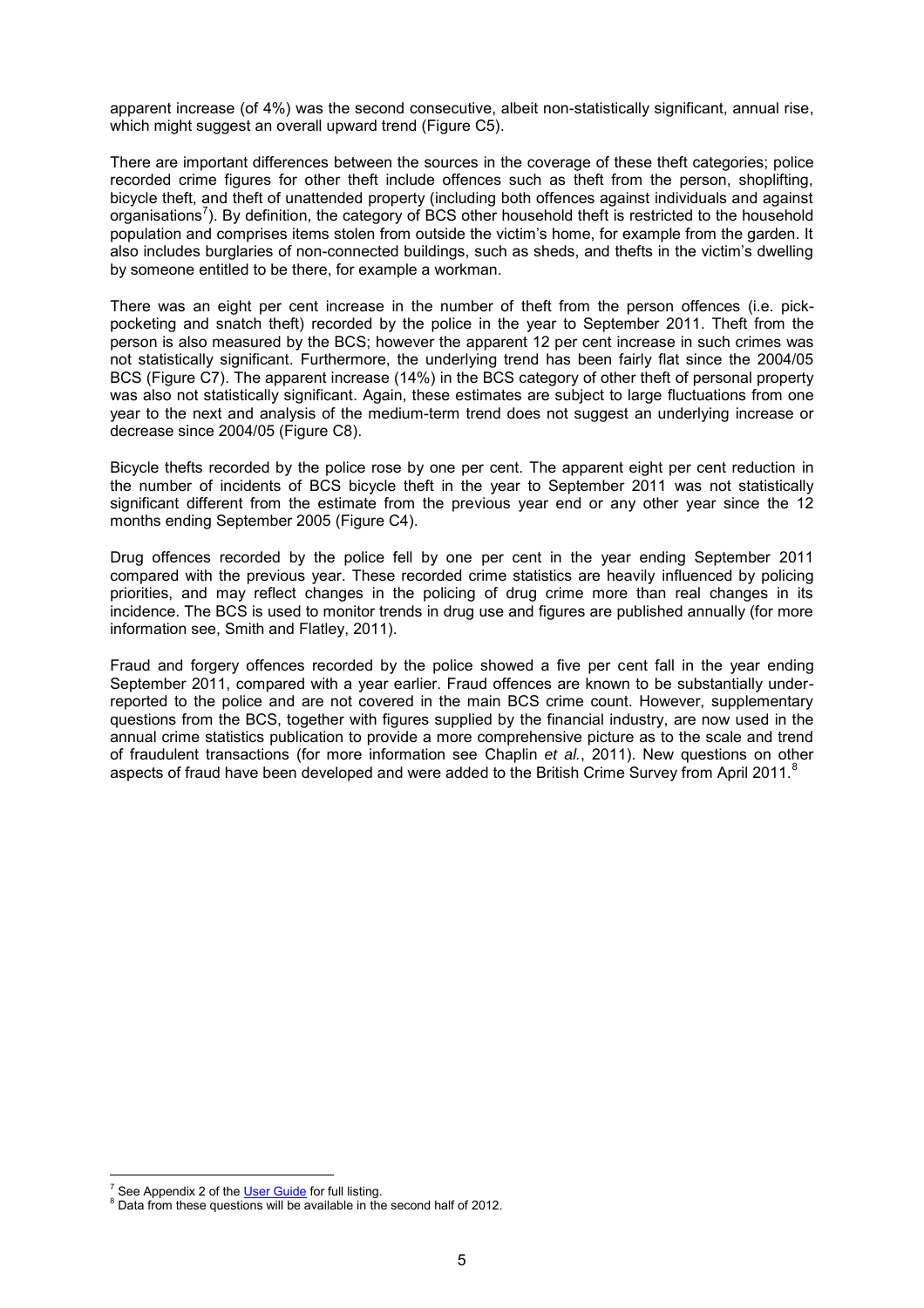apparent increase (of 4%) was the second consecutive, albeit non-statistically significant, annual rise, which might suggest an overall upward trend (Figure C5).

There are important differences between the sources in the coverage of these theft categories; police recorded crime figures for other theft include offences such as theft from the person, shoplifting, bicycle theft, and theft of unattended property (including both offences against individuals and against organisations<sup>7</sup>). By definition, the category of BCS other household theft is restricted to the household population and comprises items stolen from outside the victim's home, for example from the garden. It also includes burglaries of non-connected buildings, such as sheds, and thefts in the victim's dwelling by someone entitled to be there, for example a workman.

There was an eight per cent increase in the number of theft from the person offences (i.e. pickpocketing and snatch theft) recorded by the police in the year to September 2011. Theft from the person is also measured by the BCS; however the apparent 12 per cent increase in such crimes was not statistically significant. Furthermore, the underlying trend has been fairly flat since the 2004/05 BCS (Figure C7). The apparent increase (14%) in the BCS category of other theft of personal property was also not statistically significant. Again, these estimates are subject to large fluctuations from one year to the next and analysis of the medium-term trend does not suggest an underlying increase or decrease since 2004/05 (Figure C8).

Bicycle thefts recorded by the police rose by one per cent. The apparent eight per cent reduction in the number of incidents of BCS bicycle theft in the year to September 2011 was not statistically significant different from the estimate from the previous year end or any other year since the 12 months ending September 2005 (Figure C4).

Drug offences recorded by the police fell by one per cent in the year ending September 2011 compared with the previous year. These recorded crime statistics are heavily influenced by policing priorities, and may reflect changes in the policing of drug crime more than real changes in its incidence. The BCS is used to monitor trends in drug use and figures are published annually (for more information see, Smith and Flatley, 2011).

Fraud and forgery offences recorded by the police showed a five per cent fall in the year ending September 2011, compared with a year earlier. Fraud offences are known to be substantially underreported to the police and are not covered in the main BCS crime count. However, supplementary questions from the BCS, together with figures supplied by the financial industry, are now used in the annual crime statistics publication to provide a more comprehensive picture as to the scale and trend of fraudulent transactions (for more information see Chaplin *et al.*, 2011). New questions on other aspects of fraud have been developed and were added to the British Crime Survey from April 2011.<sup>8</sup>

 $\overline{a}$ <sup>7</sup> See Appendix 2 of the [User Guide f](http://www.homeoffice.gov.uk/publications/science-research-statistics/research-statistics/crime-research/user-guide-crime-statistics/)or full listing.

 $8$  Data from these questions will be available in the second half of 2012.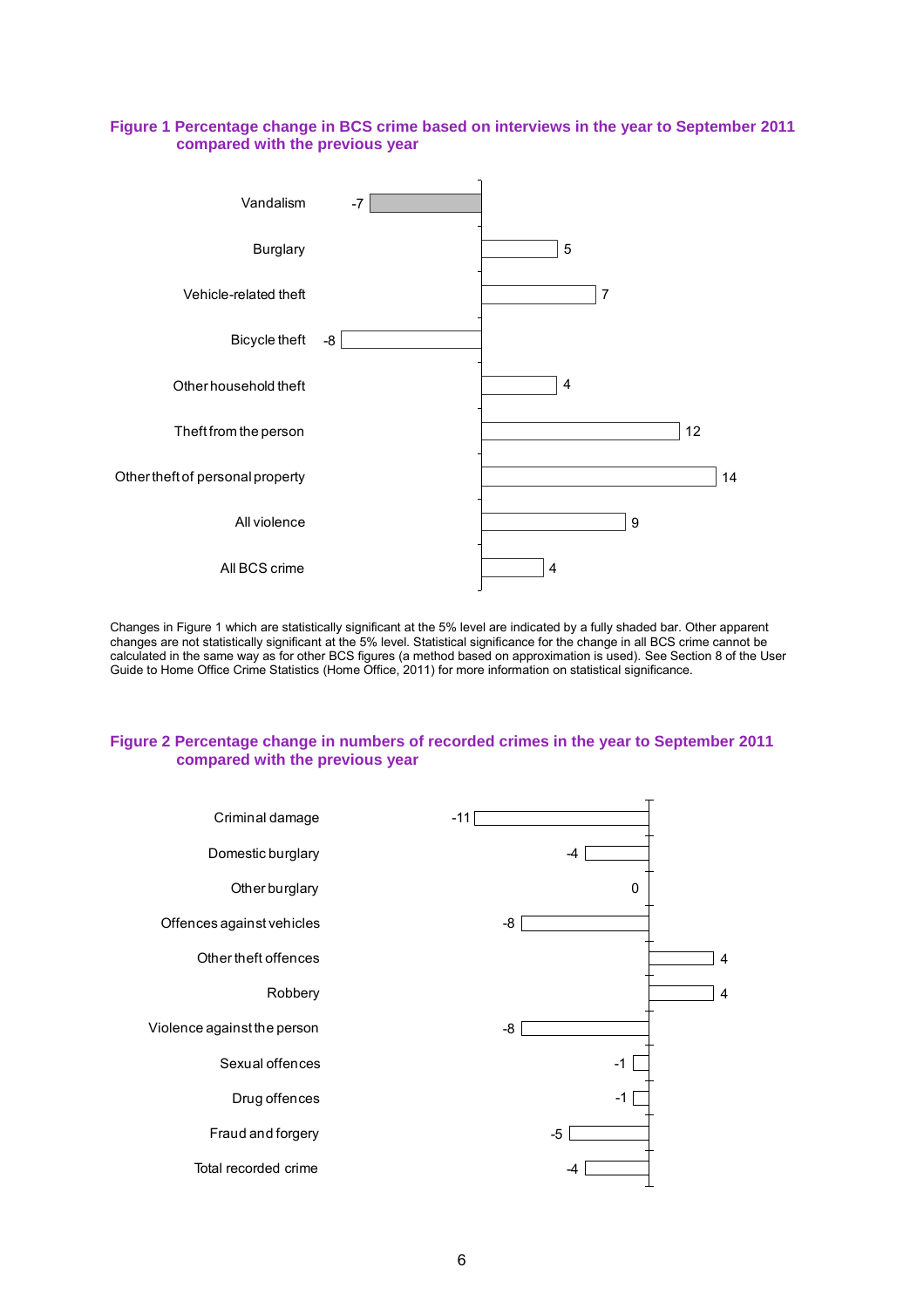#### **Figure 1 Percentage change in BCS crime based on interviews in the year to September 2011 compared with the previous year**



Changes in Figure 1 which are statistically significant at the 5% level are indicated by a fully shaded bar. Other apparent changes are not statistically significant at the 5% level. Statistical significance for the change in all BCS crime cannot be calculated in the same way as for other BCS figures (a method based on approximation is used). See Section 8 of the User Guide to Home Office Crime Statistics (Home Office, 2011) for more information on statistical significance.

#### **Figure 2 Percentage change in numbers of recorded crimes in the year to September 2011 compared with the previous year**

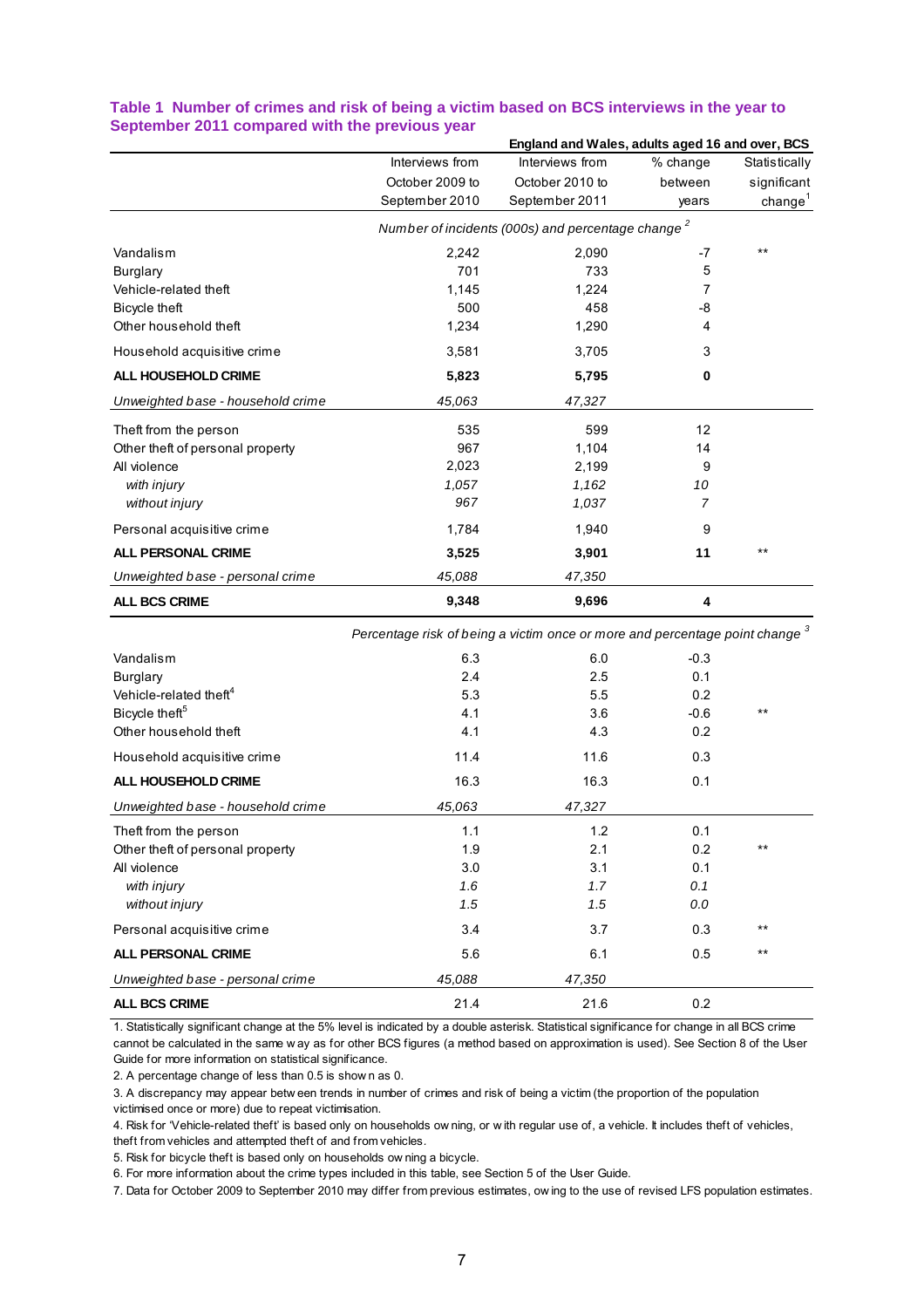|                                   |                                                               | England and Wales, adults aged 16 and over, BCS |          |                     |
|-----------------------------------|---------------------------------------------------------------|-------------------------------------------------|----------|---------------------|
|                                   | Interviews from                                               | Interviews from                                 | % change | Statistically       |
|                                   | October 2009 to                                               | October 2010 to                                 | between  | significant         |
|                                   | September 2010                                                | September 2011                                  | years    | change <sup>1</sup> |
|                                   | Number of incidents (000s) and percentage change <sup>2</sup> |                                                 |          |                     |
| Vandalism                         | 2,242                                                         | 2,090                                           | $-7$     | $***$               |
| Burglary                          | 701                                                           | 733                                             | 5        |                     |
| Vehicle-related theft             | 1,145                                                         | 1,224                                           | 7        |                     |
| Bicycle theft                     | 500                                                           | 458                                             | -8       |                     |
| Other household theft             | 1,234                                                         | 1,290                                           | 4        |                     |
| Household acquisitive crime       | 3,581                                                         | 3,705                                           | 3        |                     |
| <b>ALL HOUSEHOLD CRIME</b>        | 5,823                                                         | 5,795                                           | 0        |                     |
| Unweighted base - household crime | 45,063                                                        | 47,327                                          |          |                     |
| Theft from the person             | 535                                                           | 599                                             | 12       |                     |
| Other theft of personal property  | 967                                                           | 1,104                                           | 14       |                     |
| All violence                      | 2,023                                                         | 2,199                                           | 9        |                     |
| with injury                       | 1,057                                                         | 1,162                                           | 10       |                     |
| without injury                    | 967                                                           | 1,037                                           | 7        |                     |
| Personal acquisitive crime        | 1,784                                                         | 1,940                                           | 9        |                     |
| <b>ALL PERSONAL CRIME</b>         | 3,525                                                         | 3,901                                           | 11       | $***$               |
| Unweighted base - personal crime  | 45,088                                                        | 47,350                                          |          |                     |
| <b>ALL BCS CRIME</b>              | 9,348                                                         | 9,696                                           | 4        |                     |

#### **Table 1 Number of crimes and risk of being a victim based on BCS interviews in the year to September 2011 compared with the previous year**

|                                    | Percentage risk of being a victim once or more and percentage point change 3 |        |        |       |
|------------------------------------|------------------------------------------------------------------------------|--------|--------|-------|
| Vandalism                          | 6.3                                                                          | 6.0    | $-0.3$ |       |
| <b>Burglary</b>                    | 2.4                                                                          | 2.5    | 0.1    |       |
| Vehicle-related theft <sup>4</sup> | 5.3                                                                          | 5.5    | 0.2    |       |
| Bicycle theft <sup>5</sup>         | 4.1                                                                          | 3.6    | $-0.6$ | $***$ |
| Other household theft              | 4.1                                                                          | 4.3    | 0.2    |       |
| Household acquisitive crime        | 11.4                                                                         | 11.6   | 0.3    |       |
| <b>ALL HOUSEHOLD CRIME</b>         | 16.3                                                                         | 16.3   | 0.1    |       |
| Unweighted base - household crime  | 45,063                                                                       | 47,327 |        |       |
| Theft from the person              | 1.1                                                                          | 1.2    | 0.1    |       |
| Other theft of personal property   | 1.9                                                                          | 2.1    | 0.2    | $***$ |
| All violence                       | 3.0                                                                          | 3.1    | 0.1    |       |
| with injury                        | 1.6                                                                          | 1.7    | 0.1    |       |
| without injury                     | 1.5                                                                          | 1.5    | 0.0    |       |
| Personal acquisitive crime         | 3.4                                                                          | 3.7    | 0.3    | $***$ |
| <b>ALL PERSONAL CRIME</b>          | 5.6                                                                          | 6.1    | 0.5    | $***$ |
| Unweighted base - personal crime   | 45,088                                                                       | 47,350 |        |       |
| <b>ALL BCS CRIME</b>               | 21.4                                                                         | 21.6   | 0.2    |       |

3. Commot be calculated in the same way as for other BCS figures (a method based on approximation is used). See Section 8 of<br>3. A percentage change of less than 0.5 is show n as 0.<br>3. A discrepancy may appear betw een tren 1. Statistically significant change at the 5% level is indicated by a double asterisk. Statistical significance for change in all BCS crime CALL BCS CRIME<br>
21.4 21.6 0.2<br>
1. Statistically significant change at the 5% level is indicated by a double asterisk. Statistical significance for change in all BCS crime<br>
cannot be calculated in the same w ay as for other Guide for more information on statistical significance. 1. Statistically significant change at the 5% level is indication to be calculated in the same way as for other BCS<br>Guide for more information on statistical significance.<br>2. A percentage change of less than 0.5 is show n

victimised once or more) due to repeat victimisation.

1. A percentage change of less than 0.5 is show n as 0.<br>
2. A discrepancy may appear betw een trends in number of crimes and risk of being a victim (the proportion of the population<br>
1. Risk for 'Vehicle-related theft' is theft from vehicles and attempted theft of and from vehicles*.*  4. Risk for 'Vehicle-related theft' is based only on households ow ning, or with regular use of, a vehicle. It includes theft of vehicles,

6. For more information about the crime types included in this table, see Section 5 of the User Guide.

5. Risk for bicycle theft is based only on households ow ning a bicycle.<br>6. For more information about the crime types included in this table, see Section 5 of the User Guide.<br>7. Data for October 2009 to September 2010 may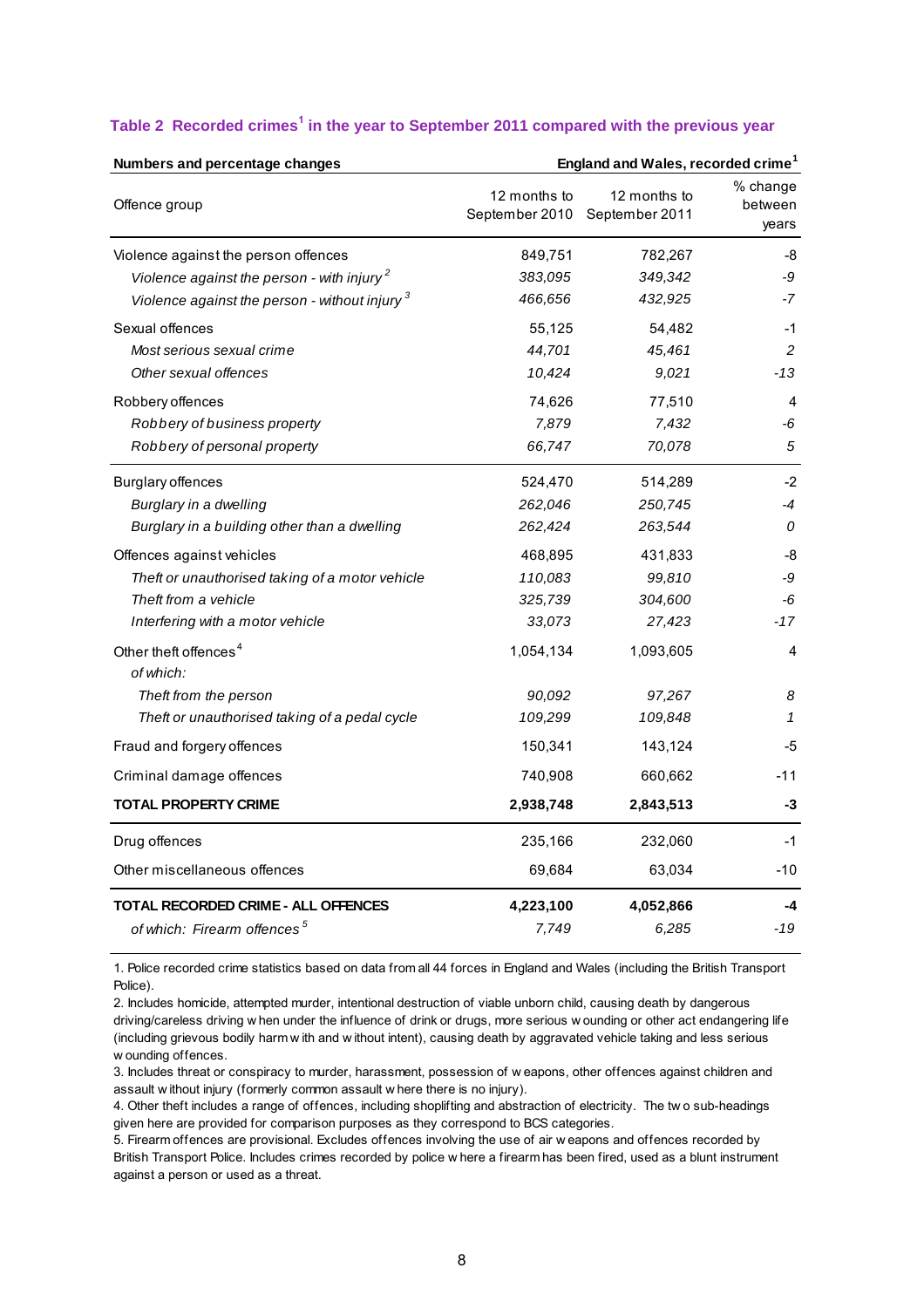| Numbers and percentage changes                         |              |                                               | England and Wales, recorded crime <sup>1</sup> |  |
|--------------------------------------------------------|--------------|-----------------------------------------------|------------------------------------------------|--|
| Offence group                                          | 12 months to | 12 months to<br>September 2010 September 2011 | % change<br>between<br>years                   |  |
| Violence against the person offences                   | 849,751      | 782,267                                       | -8                                             |  |
| Violence against the person - with injury <sup>2</sup> | 383,095      | 349,342                                       | -9                                             |  |
| Violence against the person - without injury 3         | 466,656      | 432,925                                       | -7                                             |  |
| Sexual offences                                        | 55,125       | 54,482                                        | $-1$                                           |  |
| Most serious sexual crime                              | 44,701       | 45,461                                        | 2                                              |  |
| Other sexual offences                                  | 10,424       | 9,021                                         | -13                                            |  |
| Robbery offences                                       | 74,626       | 77,510                                        | 4                                              |  |
| Robbery of business property                           | 7,879        | 7,432                                         | -6                                             |  |
| Robbery of personal property                           | 66,747       | 70,078                                        | 5                                              |  |
| <b>Burglary offences</b>                               | 524,470      | 514,289                                       | -2                                             |  |
| Burglary in a dwelling                                 | 262,046      | 250,745                                       | -4                                             |  |
| Burglary in a building other than a dwelling           | 262,424      | 263,544                                       | 0                                              |  |
| Offences against vehicles                              | 468,895      | 431,833                                       | -8                                             |  |
| Theft or unauthorised taking of a motor vehicle        | 110,083      | 99,810                                        | -9                                             |  |
| Theft from a vehicle                                   | 325,739      | 304,600                                       | -6                                             |  |
| Interfering with a motor vehicle                       | 33,073       | 27,423                                        | -17                                            |  |
| Other theft offences <sup>4</sup><br>of which:         | 1,054,134    | 1,093,605                                     | 4                                              |  |
| Theft from the person                                  | 90,092       | 97,267                                        | 8                                              |  |
| Theft or unauthorised taking of a pedal cycle          | 109,299      | 109,848                                       | 1                                              |  |
| Fraud and forgery offences                             | 150,341      | 143,124                                       | -5                                             |  |
| Criminal damage offences                               | 740,908      | 660,662                                       | -11                                            |  |
| <b>TOTAL PROPERTY CRIME</b>                            | 2,938,748    | 2,843,513                                     | -3                                             |  |
| Drug offences                                          | 235,166      | 232,060                                       | -1                                             |  |
| Other miscellaneous offences                           | 69,684       | 63,034                                        | -10                                            |  |
| TOTAL RECORDED CRIME - ALL OFFENCES                    | 4,223,100    | 4,052,866                                     | -4                                             |  |
| of which: Firearm offences <sup>5</sup>                | 7,749        | 6,285                                         | -19                                            |  |

#### **Table 2 Recorded crimes<sup>1</sup> in the year to September 2011 compared with the previous year**

1. Police recorded crime statistics based on data from all 44 forces in England and Wales (including the British Transport Police).

2. Includes homicide, attempted murder, intentional destruction of viable unborn child, causing death by dangerous 1. Police recorded crime statistics based on data from all 44 forces in England and Wales (including the British Transport<br>Police).<br>2. Includes homicide, attempted murder, intentional destruction of viable unborn child, ca Police).<br>2. Includes homicide, attempted murder, intentional destruction of viable unborn child, causing death by dangerous<br>driving/careless driving w hen under the influence of drink or drugs, more serious w ounding or ot 2. Includes homicide,<br>driving/careless drivi<br>(including grievous b<br>w ounding offences.<br>3. Includes threat or q (including grievous bodily harm with and without intent), causing death by aggravated vehicle taking and less serious<br>w ounding offences.<br>3. Includes threat or conspiracy to murder, harassment, possession of w eapons, othe

assault w ithout injury (formerly common assault w here there is no injury). w ounding offences.<br>3. Includes threat or conspiracy to murder, harassment, possession of w eapons, other offences against children and<br>assault without injury (formerly common assault w here there is no injury).<br>4. Other t

given here are provided for comparison purposes as they correspond to BCS categories.<br>5. Firearm offences are provisional. Excludes offences involving the use of air w eapons and offences recorded by Frankly without injury (formerly common assault where there is no injury).<br>
4. Other theft includes a range of offences, including shoplifting and abstraction of electricity. The two sub-heading<br>
given here are provided fo

British Transport Police. Includes crimes recorded by police w here a firearm has been fired, used as a blunt instrument against a person or used as a threat.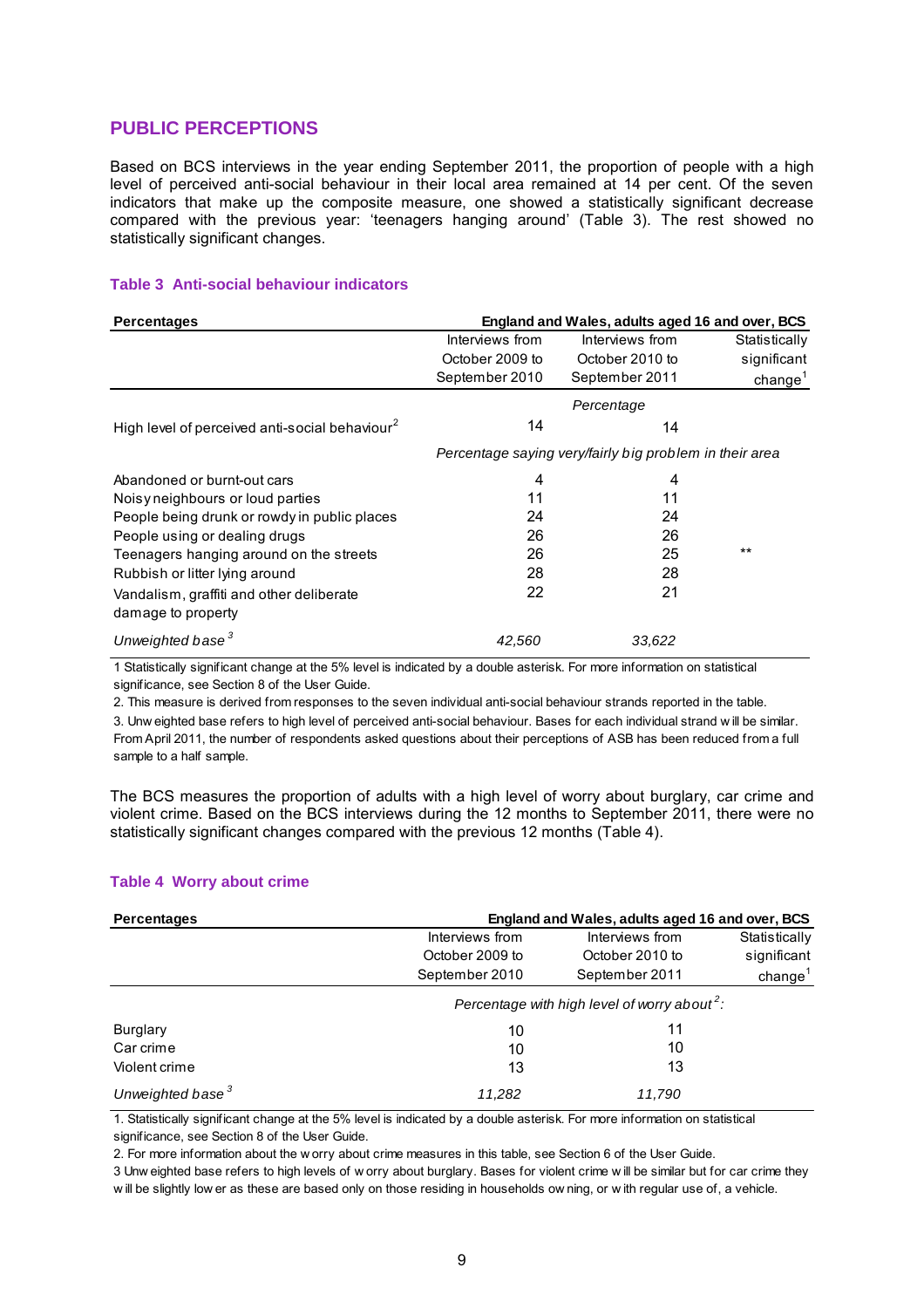#### **PUBLIC PERCEPTIONS**

Based on BCS interviews in the year ending September 2011, the proportion of people with a high level of perceived anti-social behaviour in their local area remained at 14 per cent. Of the seven indicators that make up the composite measure, one showed a statistically significant decrease compared with the previous year: 'teenagers hanging around' (Table 3). The rest showed no statistically significant changes.

#### **Table 3 Anti-social behaviour indicators**

| <b>Percentages</b>                                             | England and Wales, adults aged 16 and over, BCS |                                                         |                     |
|----------------------------------------------------------------|-------------------------------------------------|---------------------------------------------------------|---------------------|
|                                                                | Interviews from                                 | Interviews from                                         | Statistically       |
|                                                                | October 2009 to                                 | October 2010 to                                         | significant         |
|                                                                | September 2010                                  | September 2011                                          | change <sup>1</sup> |
|                                                                | Percentage                                      |                                                         |                     |
| High level of perceived anti-social behaviour <sup>2</sup>     | 14                                              | 14                                                      |                     |
|                                                                |                                                 | Percentage saying very/fairly big problem in their area |                     |
| Abandoned or burnt-out cars                                    | 4                                               | 4                                                       |                     |
| Noisy neighbours or loud parties                               | 11                                              | 11                                                      |                     |
| People being drunk or rowdy in public places                   | 24                                              | 24                                                      |                     |
| People using or dealing drugs                                  | 26                                              | 26                                                      |                     |
| Teenagers hanging around on the streets                        | 26                                              | 25                                                      | $***$               |
| Rubbish or litter lying around                                 | 28                                              | 28                                                      |                     |
| Vandalism, graffiti and other deliberate<br>damage to property | 22                                              | 21                                                      |                     |
| Unweighted base <sup>3</sup>                                   | 42.560                                          | 33,622                                                  |                     |

1 Statistically significant change at the 5% level is indicated by a double asterisk. For more information on statistical significance, see Section 8 of the User Guide.

2. This measure is derived from responses to the seven individual anti-social behaviour strands reported in the table.

3. Unw eighted base refers to high level of perceived anti-social behaviour. Bases for each individual strand w ill be similar. From April 2011, the number of respondents asked questions about their perceptions of ASB has been reduced from a full sample to a half sample.

The BCS measures the proportion of adults with a high level of worry about burglary, car crime and violent crime. Based on the BCS interviews during the 12 months to September 2011, there were no statistically significant changes compared with the previous 12 months (Table 4).

#### **Table 4 Worry about crime**

| Percentages                  | England and Wales, adults aged 16 and over, BCS          |                 |               |  |
|------------------------------|----------------------------------------------------------|-----------------|---------------|--|
|                              | Interviews from                                          | Interviews from | Statistically |  |
|                              | October 2009 to                                          | October 2010 to | significant   |  |
|                              | September 2010                                           | September 2011  | change $1$    |  |
|                              | Percentage with high level of worry about <sup>2</sup> : |                 |               |  |
| Burglary                     | 10                                                       | 11              |               |  |
| Car crime                    | 10                                                       | 10              |               |  |
| Violent crime                | 13                                                       | 13              |               |  |
| Unweighted base <sup>3</sup> | 11.282                                                   | 11.790          |               |  |

1. Statistically significant change at the 5% level is indicated by a double asterisk. For more information on statistical significance, see Section 8 of the User Guide.

2. For more information about the w orry about crime measures in this table, see Section 6 of the User Guide.

3 Unw eighted base refers to high levels of w orry about burglary. Bases for violent crime w ill be similar but for car crime they w ill be slightly low er as these are based only on those residing in households ow ning, or w ith regular use of, a vehicle.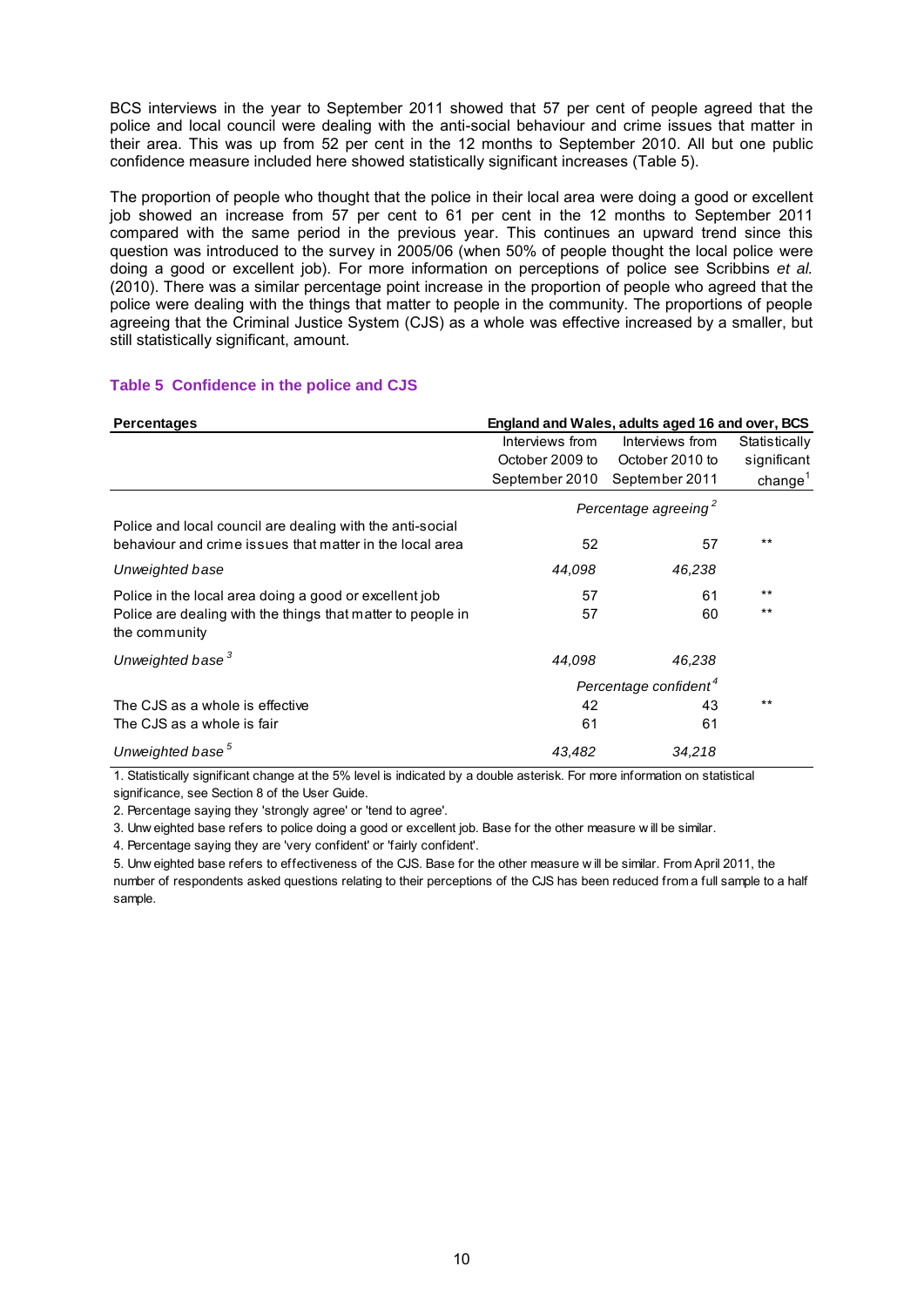BCS interviews in the year to September 2011 showed that 57 per cent of people agreed that the police and local council were dealing with the anti-social behaviour and crime issues that matter in their area. This was up from 52 per cent in the 12 months to September 2010. All but one public confidence measure included here showed statistically significant increases (Table 5).

The proportion of people who thought that the police in their local area were doing a good or excellent job showed an increase from 57 per cent to 61 per cent in the 12 months to September 2011 compared with the same period in the previous year. This continues an upward trend since this question was introduced to the survey in 2005/06 (when 50% of people thought the local police were doing a good or excellent job). For more information on perceptions of police see Scribbins *et al.* (2010). There was a similar percentage point increase in the proportion of people who agreed that the police were dealing with the things that matter to people in the community. The proportions of people agreeing that the Criminal Justice System (CJS) as a whole was effective increased by a smaller, but still statistically significant, amount.

#### **Table 5 Confidence in the police and CJS**

| <b>Percentages</b>                                                           | England and Wales, adults aged 16 and over, BCS |                 |               |
|------------------------------------------------------------------------------|-------------------------------------------------|-----------------|---------------|
|                                                                              | Interviews from                                 | Interviews from | Statistically |
|                                                                              | October 2009 to                                 | October 2010 to | significant   |
|                                                                              | September 2010                                  | September 2011  | change $1$    |
|                                                                              | Percentage agreeing <sup>2</sup>                |                 |               |
| Police and local council are dealing with the anti-social                    |                                                 |                 |               |
| behaviour and crime issues that matter in the local area                     | 52                                              | 57              | $***$         |
| Unweighted base                                                              | 44,098                                          | 46,238          |               |
| Police in the local area doing a good or excellent job                       | 57                                              | 61              | $***$         |
| Police are dealing with the things that matter to people in<br>the community | 57                                              | 60              | $***$         |
| Unweighted base <sup>3</sup>                                                 | 44,098                                          | 46,238          |               |
|                                                                              | Percentage confident <sup>4</sup>               |                 |               |
| The CJS as a whole is effective                                              | 42                                              | 43              | $***$         |
| The CJS as a whole is fair                                                   | 61                                              | 61              |               |
| Unweighted base <sup>5</sup>                                                 | 43.482                                          | 34,218          |               |

1. Statistically significant change at the 5% level is indicated by a double asterisk. For more information on statistical significance, see Section 8 of the User Guide.

2. Percentage saying they 'strongly agree' or 'tend to agree'.

3. Unw eighted base refers to police doing a good or excellent job. Base for the other measure w ill be similar.

4. Percentage saying they are 'very confident' or 'fairly confident'.

5. Unw eighted base refers to effectiveness of the CJS. Base for the other measure w ill be similar. From April 2011, the number of respondents asked questions relating to their perceptions of the CJS has been reduced from a full sample to a half sample.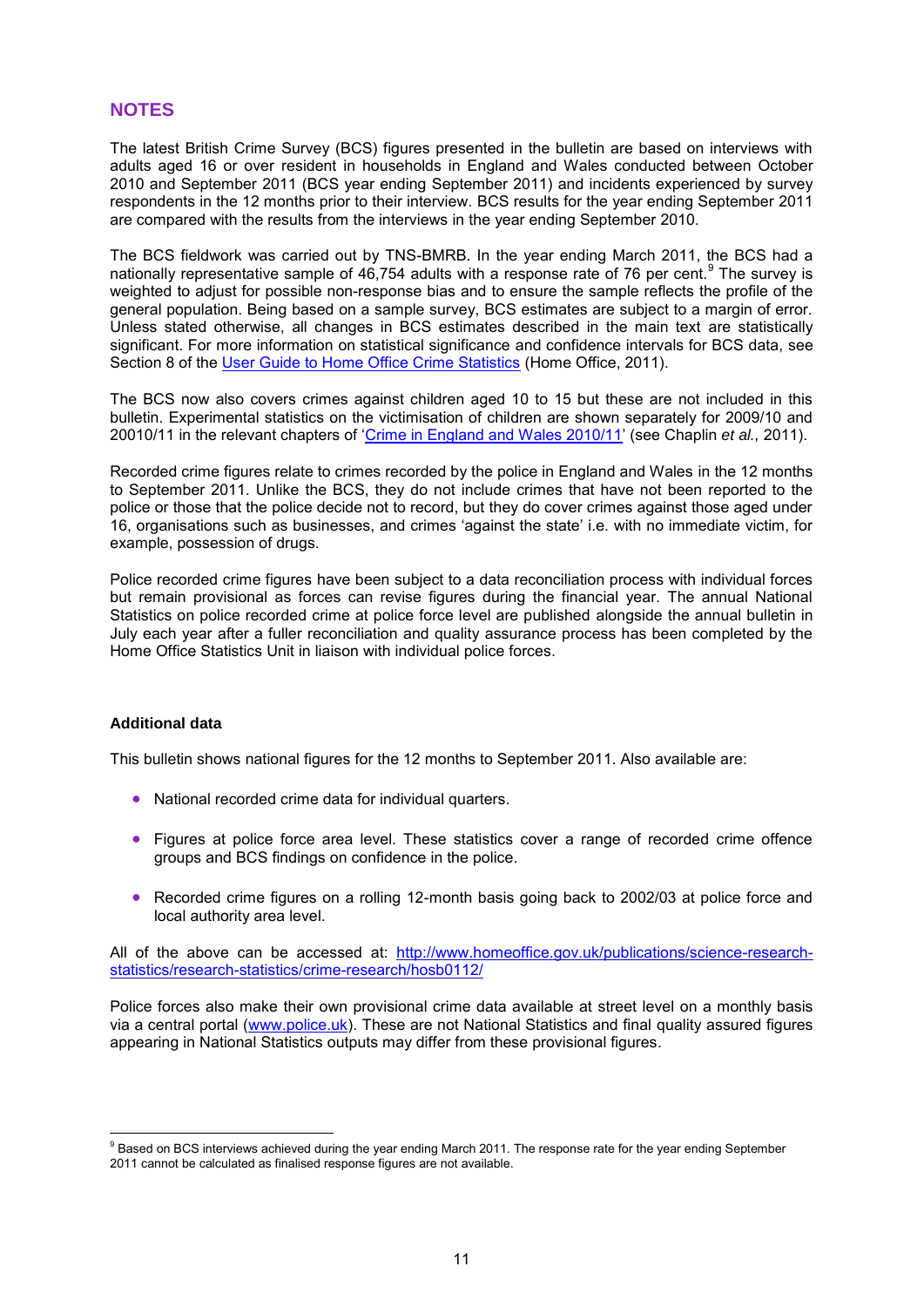#### **NOTES**

The latest British Crime Survey (BCS) figures presented in the bulletin are based on interviews with adults aged 16 or over resident in households in England and Wales conducted between October 2010 and September 2011 (BCS year ending September 2011) and incidents experienced by survey respondents in the 12 months prior to their interview. BCS results for the year ending September 2011 are compared with the results from the interviews in the year ending September 2010.

The BCS fieldwork was carried out by TNS-BMRB. In the year ending March 2011, the BCS had a nationally representative sample of 46,754 adults with a response rate of 76 per cent.  $9$  The survey is weighted to adjust for possible non-response bias and to ensure the sample reflects the profile of the general population. Being based on a sample survey, BCS estimates are subject to a margin of error. Unless stated otherwise, all changes in BCS estimates described in the main text are statistically significant. For more information on statistical significance and confidence intervals for BCS data, see Section 8 of the [User Guide to Home Office Crime Statistics](http://www.homeoffice.gov.uk/publications/science-research-statistics/research-statistics/crime-research/user-guide-crime-statistics/) (Home Office, 2011).

The BCS now also covers crimes against children aged 10 to 15 but these are not included in this bulletin. Experimental statistics on the victimisation of children are shown separately for 2009/10 and 20010/11 in the relevant chapters of ['Crime in England and Wales 2010/11'](http://www.homeoffice.gov.uk/publications/science-research-statistics/research-statistics/crime-research/hosb1011/?view=Standard&pubID=908823) (see Chaplin *et al.,* 2011).

Recorded crime figures relate to crimes recorded by the police in England and Wales in the 12 months to September 2011. Unlike the BCS, they do not include crimes that have not been reported to the police or those that the police decide not to record, but they do cover crimes against those aged under 16, organisations such as businesses, and crimes 'against the state' i.e. with no immediate victim, for example, possession of drugs.

Police recorded crime figures have been subject to a data reconciliation process with individual forces but remain provisional as forces can revise figures during the financial year. The annual National Statistics on police recorded crime at police force level are published alongside the annual bulletin in July each year after a fuller reconciliation and quality assurance process has been completed by the Home Office Statistics Unit in liaison with individual police forces.

#### **Additional data**

 $\overline{a}$ 

This bulletin shows national figures for the 12 months to September 2011. Also available are:

- National recorded crime data for individual quarters.
- Figures at police force area level. These statistics cover a range of recorded crime offence groups and BCS findings on confidence in the police.
- Recorded crime figures on a rolling 12-month basis going back to 2002/03 at police force and local authority area level.

All of the above can be accessed [at:](http://at/) [http://www.homeoffice.gov.uk/publications/science-research](http://www.homeoffice.gov.uk/publications/science-research-statistics/research-statistics/crime-research/hosb0112/)[statistics/research-statistics/crime-research/hosb0112/](http://www.homeoffice.gov.uk/publications/science-research-statistics/research-statistics/crime-research/hosb0112/)

Police forces also make their own provisional crime data available at street level on a monthly basis via a central portal [\(www.police.uk\)](http://www.police.uk/). These are not National Statistics and final quality assured figures appearing in National Statistics outputs may differ from these provisional figures.

<sup>&</sup>lt;sup>9</sup> Based on BCS interviews achieved during the year ending March 2011. The response rate for the year ending September 2011 cannot be calculated as finalised response figures are not available.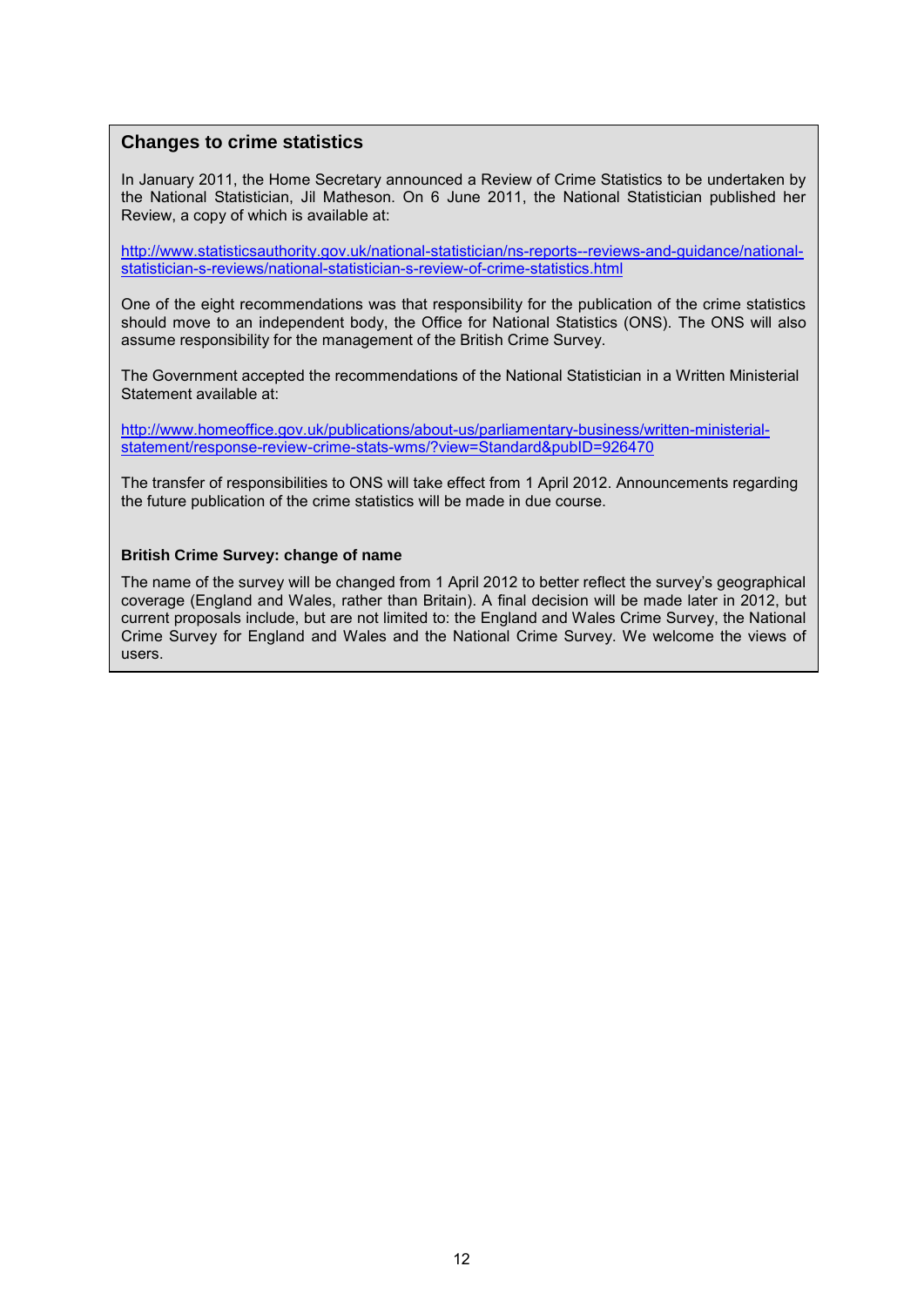#### **Changes to crime statistics**

In January 2011, the Home Secretary announced a Review of Crime Statistics to be undertaken by the National Statistician, Jil Matheson. On 6 June 2011, the National Statistician published her Review, a copy of which is available at:

[http://www.statisticsauthority.gov.uk/national-statistician/ns-reports--reviews-and-guidance/national](http://www.statisticsauthority.gov.uk/national-statistician/ns-reports--reviews-and-guidance/national-statistician-s-reviews/national-statistician-s-review-of-crime-statistics.html)[statistician-s-reviews/national-statistician-s-review-of-crime-statistics.html](http://www.statisticsauthority.gov.uk/national-statistician/ns-reports--reviews-and-guidance/national-statistician-s-reviews/national-statistician-s-review-of-crime-statistics.html)

One of the eight recommendations was that responsibility for the publication of the crime statistics should move to an independent body, the Office for National Statistics (ONS). The ONS will also assume responsibility for the management of the British Crime Survey.

The Government accepted the recommendations of the National Statistician in a Written Ministerial Statement available at:

[http://www.homeoffice.gov.uk/publications/about-us/parliamentary-business/written-ministerial](http://www.homeoffice.gov.uk/publications/about-us/parliamentary-business/written-ministerial-statement/response-review-crime-stats-wms/?view=Standard&pubID=926470)[statement/response-review-crime-stats-wms/?view=Standard&pubID=926470](http://www.homeoffice.gov.uk/publications/about-us/parliamentary-business/written-ministerial-statement/response-review-crime-stats-wms/?view=Standard&pubID=926470)

The transfer of responsibilities to ONS will take effect from 1 April 2012. Announcements regarding the future publication of the crime statistics will be made in due course.

#### **British Crime Survey: change of name**

The name of the survey will be changed from 1 April 2012 to better reflect the survey's geographical coverage (England and Wales, rather than Britain). A final decision will be made later in 2012, but current proposals include, but are not limited to: the England and Wales Crime Survey, the National Crime Survey for England and Wales and the National Crime Survey. We welcome the views of users.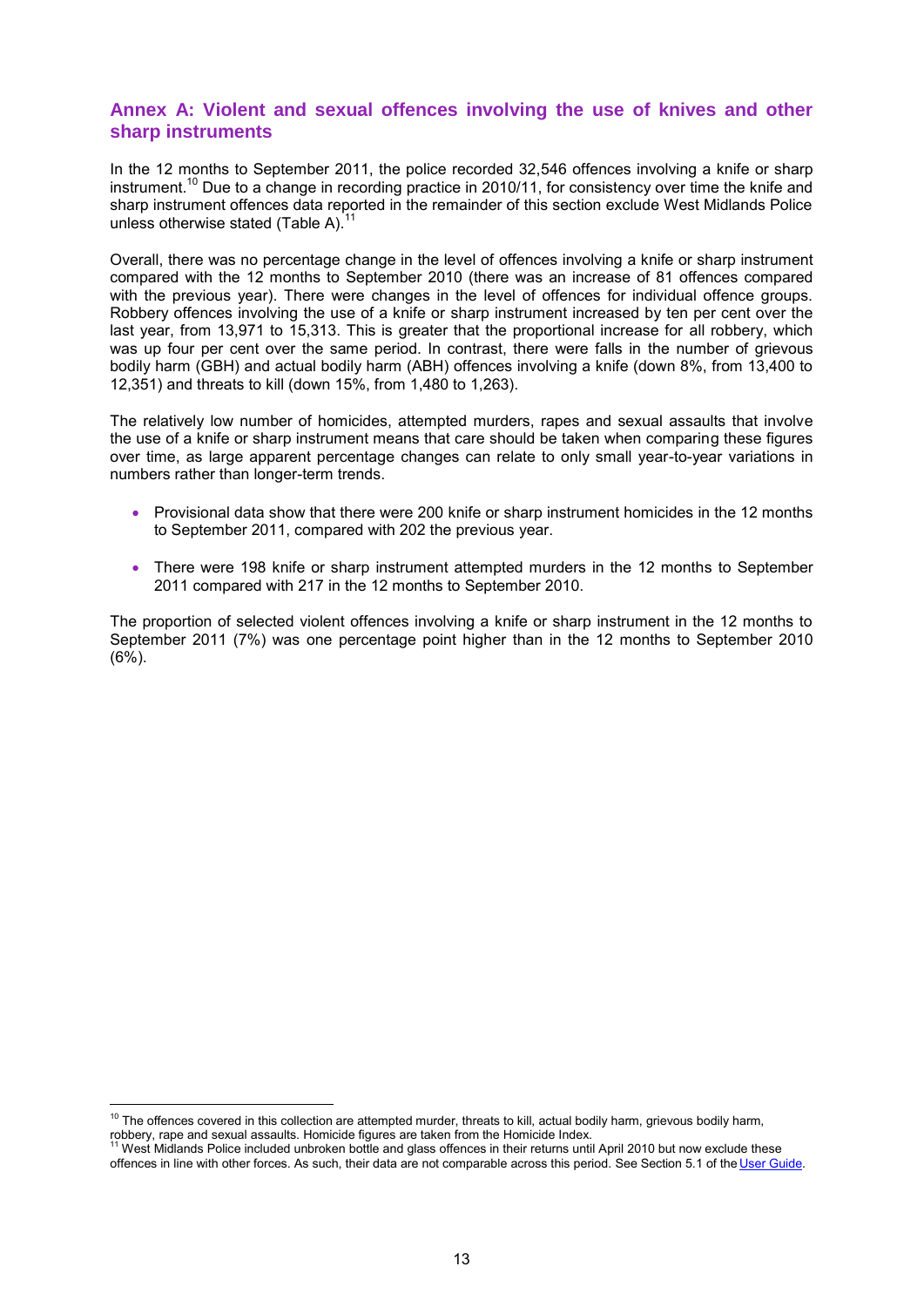#### **Annex A: Violent and sexual offences involving the use of knives and other sharp instruments**

In the 12 months to September 2011, the police recorded 32,546 offences involving a knife or sharp instrument.<sup>10</sup> Due to a change in recording practice in 2010/11, for consistency over time the knife and sharp instrument offences data reported in the remainder of this section exclude West Midlands Police unless otherwise stated (Table A). $11$ 

Overall, there was no percentage change in the level of offences involving a knife or sharp instrument compared with the 12 months to September 2010 (there was an increase of 81 offences compared with the previous year). There were changes in the level of offences for individual offence groups. Robbery offences involving the use of a knife or sharp instrument increased by ten per cent over the last year, from 13,971 to 15,313. This is greater that the proportional increase for all robbery, which was up four per cent over the same period. In contrast, there were falls in the number of grievous bodily harm (GBH) and actual bodily harm (ABH) offences involving a knife (down 8%, from 13,400 to 12,351) and threats to kill (down 15%, from 1,480 to 1,263).

The relatively low number of homicides, attempted murders, rapes and sexual assaults that involve the use of a knife or sharp instrument means that care should be taken when comparing these figures over time, as large apparent percentage changes can relate to only small year-to-year variations in numbers rather than longer-term trends.

- Provisional data show that there were 200 knife or sharp instrument homicides in the 12 months to September 2011, compared with 202 the previous year.
- There were 198 knife or sharp instrument attempted murders in the 12 months to September 2011 compared with 217 in the 12 months to September 2010.

The proportion of selected violent offences involving a knife or sharp instrument in the 12 months to September 2011 (7%) was one percentage point higher than in the 12 months to September 2010 (6%).

 $\overline{a}$ 

 $10$  The offences covered in this collection are attempted murder, threats to kill, actual bodily harm, grievous bodily harm,

robbery, rape and sexual assaults. Homicide figures are taken from the Homicide Index.<br><sup>11</sup> West Midlands Police included unbroken bottle and glass offences in their returns until April 2010 but now exclude these offences in line with other forces. As such, their data are not comparable across this period. See Section 5.1 of the [User Guide.](http://www.homeoffice.gov.uk/publications/science-research-statistics/research-statistics/crime-research/user-guide-crime-statistics/)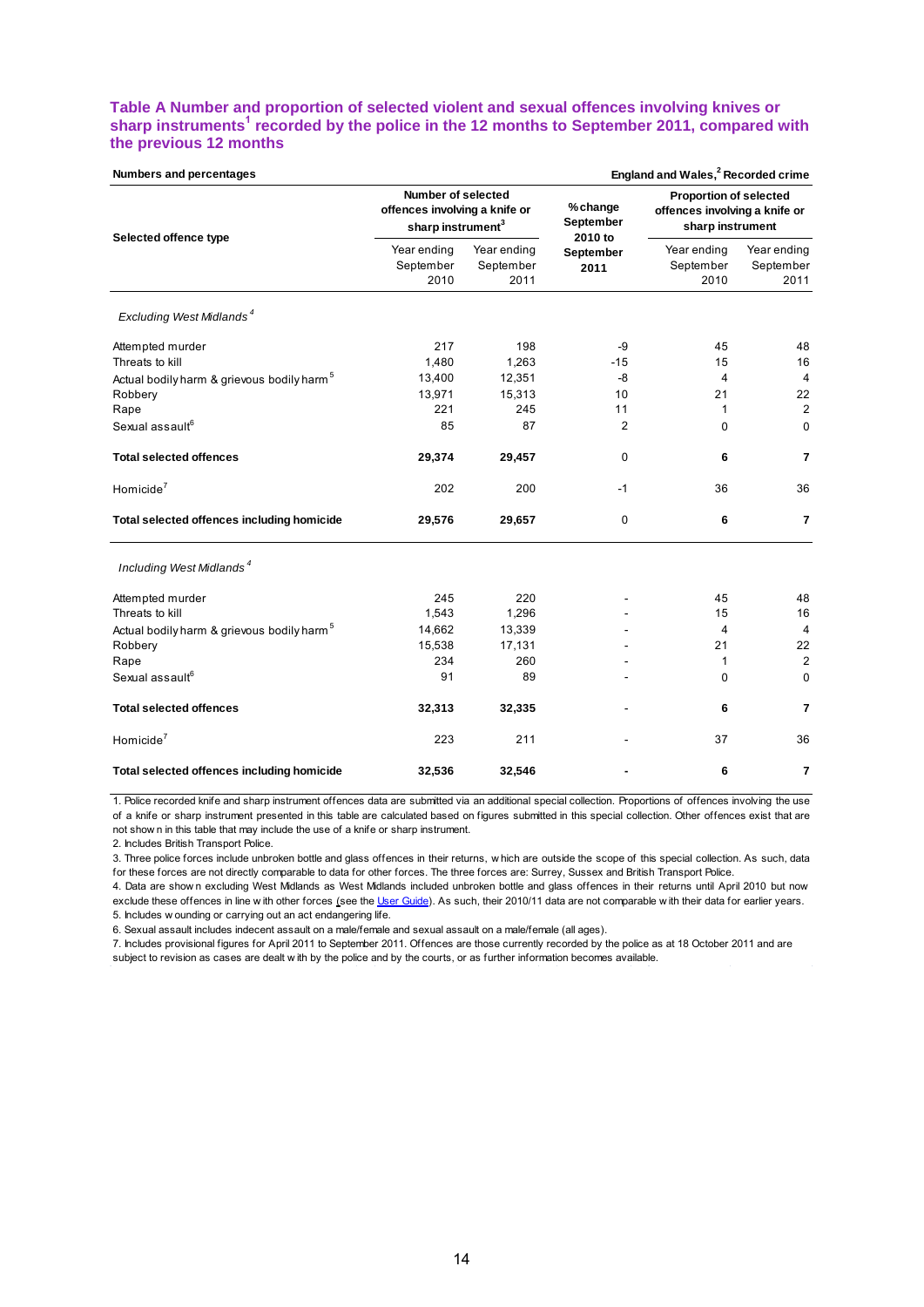#### **Table A Number and proportion of selected violent and sexual offences involving knives or sharp instruments<sup>1</sup> recorded by the police in the 12 months to September 2011, compared with the previous 12 months**

| England and Wales, <sup>2</sup> Recorded crime<br>Numbers and percentages |                                                                                      |                                  |                       |                                                                                               |                                  |
|---------------------------------------------------------------------------|--------------------------------------------------------------------------------------|----------------------------------|-----------------------|-----------------------------------------------------------------------------------------------|----------------------------------|
| Selected offence type                                                     | Number of selected<br>offences involving a knife or<br>sharp instrument <sup>3</sup> |                                  | % change<br>September | <b>Proportion of selected</b><br>offences involving a knife or<br>sharp instrument<br>2010 to |                                  |
|                                                                           | Year ending<br>September<br>2010                                                     | Year ending<br>September<br>2011 | September<br>2011     | Year ending<br>September<br>2010                                                              | Year ending<br>September<br>2011 |
| Excluding West Midlands <sup>4</sup>                                      |                                                                                      |                                  |                       |                                                                                               |                                  |
| Attempted murder                                                          | 217                                                                                  | 198                              | -9                    | 45                                                                                            | 48                               |
| Threats to kill                                                           | 1,480                                                                                | 1,263                            | $-15$                 | 15                                                                                            | 16                               |
| Actual bodily harm & grievous bodily harm <sup>5</sup>                    | 13,400                                                                               | 12,351                           | -8                    | $\overline{4}$                                                                                | 4                                |
| Robbery                                                                   | 13,971                                                                               | 15,313                           | 10                    | 21                                                                                            | 22                               |
| Rape                                                                      | 221                                                                                  | 245                              | 11                    | 1                                                                                             | $\overline{2}$                   |
| Sexual assault <sup>6</sup>                                               | 85                                                                                   | 87                               | $\overline{2}$        | 0                                                                                             | 0                                |
| <b>Total selected offences</b>                                            | 29,374                                                                               | 29,457                           | $\Omega$              | 6                                                                                             | $\overline{7}$                   |
| Homicide $7$                                                              | 202                                                                                  | 200                              | $-1$                  | 36                                                                                            | 36                               |
| Total selected offences including homicide                                | 29,576                                                                               | 29,657                           | 0                     | 6                                                                                             | $\overline{7}$                   |
| Including West Midlands <sup>4</sup>                                      |                                                                                      |                                  |                       |                                                                                               |                                  |
| Attempted murder                                                          | 245                                                                                  | 220                              |                       | 45                                                                                            | 48                               |
| Threats to kill                                                           | 1,543                                                                                | 1,296                            |                       | 15                                                                                            | 16                               |
| Actual bodily harm & grievous bodily harm <sup>5</sup>                    | 14,662                                                                               | 13,339                           |                       | 4                                                                                             | 4                                |
| Robbery                                                                   | 15,538                                                                               | 17,131                           |                       | 21                                                                                            | 22                               |
| Rape                                                                      | 234                                                                                  | 260                              |                       | 1                                                                                             | $\overline{2}$                   |
| Sexual assault <sup>6</sup>                                               | 91                                                                                   | 89                               |                       | 0                                                                                             | $\mathbf 0$                      |
| <b>Total selected offences</b>                                            | 32,313                                                                               | 32,335                           |                       | 6                                                                                             | $\overline{7}$                   |
| Homicide $7$                                                              | 223                                                                                  | 211                              |                       | 37                                                                                            | 36                               |
| Total selected offences including homicide                                | 32,536                                                                               | 32,546                           |                       | 6                                                                                             | $\overline{7}$                   |

1. Police recorded knife and sharp instrument offences data are submitted via an additional special collection. Proportions of offences involving the use of a knife or sharp instrument presented in this table are calculated based on figures submitted in this special collection. Other offences exist that are not show n in this table that may include the use of a knife or sharp instrument. 1. Police recorded knife and sharp instrument offences data are submitted via an additional special collection. Proportions of offences involving the use of a knife or sharp instrument presented in this table are calculate

2. Includes British Transport Police.

for these forces are not directly comparable to data for other forces. The three forces are: Surrey, Sussex and British Transport Police. not show n in this table that may include the use of a knife or sharp instrument.<br>2. Includes British Transport Police.<br>3. Three police forces include unbroken bottle and glass offences in their returns, which are outside

2. Includes British Transport Police.<br>3. Three police forces include unbroken bottle and glass offences in their returns, w hich are outside the scope of this special collection. As such, dat<br>6. Data are shown excluding We 3. Three police forces include unbroken bottle and glass offer these forces are not directly comparable to data for other 4. Data are shown excluding West Midlands as West Midlands. 5. Includes w ounding or carrying out a

6. Sexual assault includes indecent assault on a male/female and sexual assault on a male/female (all ages).

7. Includes provisional figures for April 2011 to September 2011. Offences are those currently recorded by the police as at 18 October 2011 and are exclude these offences in line w ith other forces (see the <u>User Guide</u>). As such, their 2010/11 data are not comparable<br>5. Includes w ounding or carrying out an act endangering life.<br>6. Sexual assault includes indecent as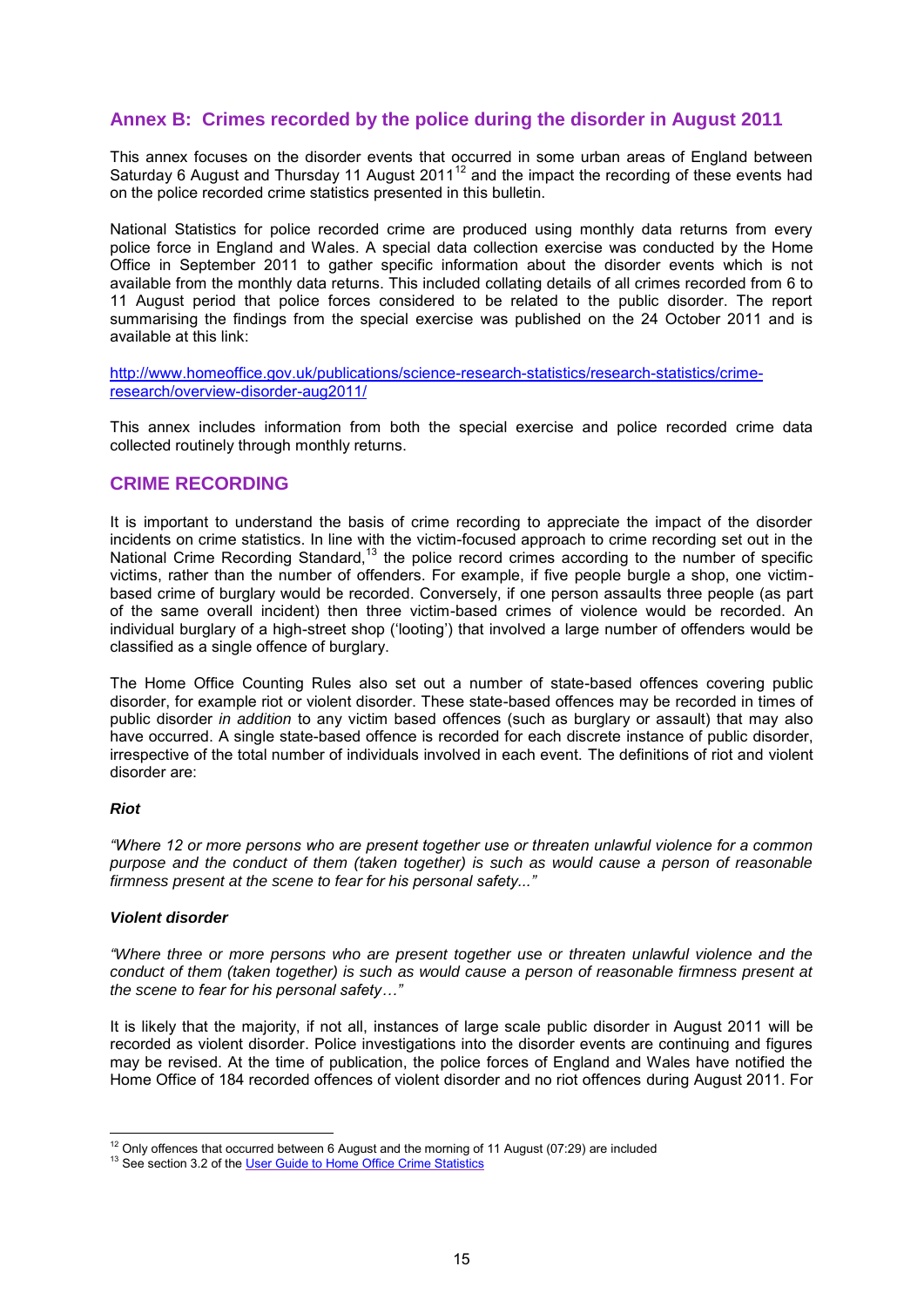#### **Annex B: Crimes recorded by the police during the disorder in August 2011**

This annex focuses on the disorder events that occurred in some urban areas of England between Saturday 6 August and Thursday 11 August 2011<sup>12</sup> and the impact the recording of these events had on the police recorded crime statistics presented in this bulletin.

National Statistics for police recorded crime are produced using monthly data returns from every police force in England and Wales. A special data collection exercise was conducted by the Home Office in September 2011 to gather specific information about the disorder events which is not available from the monthly data returns. This included collating details of all crimes recorded from 6 to 11 August period that police forces considered to be related to the public disorder. The report summarising the findings from the special exercise was published on the 24 October 2011 and is available at this link:

[http://www.homeoffice.gov.uk/publications/science-research-statistics/research-statistics/crime](http://www.homeoffice.gov.uk/publications/science-research-statistics/research-statistics/crime-research/overview-disorder-aug2011/)[research/overview-disorder-aug2011/](http://www.homeoffice.gov.uk/publications/science-research-statistics/research-statistics/crime-research/overview-disorder-aug2011/)

This annex includes information from both the special exercise and police recorded crime data collected routinely through monthly returns.

#### **CRIME RECORDING**

It is important to understand the basis of crime recording to appreciate the impact of the disorder incidents on crime statistics. In line with the victim-focused approach to crime recording set out in the National Crime Recording Standard,<sup>13</sup> the police record crimes according to the number of specific victims, rather than the number of offenders. For example, if five people burgle a shop, one victimbased crime of burglary would be recorded. Conversely, if one person assaults three people (as part of the same overall incident) then three victim-based crimes of violence would be recorded. An individual burglary of a high-street shop ('looting') that involved a large number of offenders would be classified as a single offence of burglary.

The Home Office Counting Rules also set out a number of state-based offences covering public disorder, for example riot or violent disorder. These state-based offences may be recorded in times of public disorder *in addition* to any victim based offences (such as burglary or assault) that may also have occurred. A single state-based offence is recorded for each discrete instance of public disorder, irrespective of the total number of individuals involved in each event. The definitions of riot and violent disorder are:

#### *Riot*

*"Where 12 or more persons who are present together use or threaten unlawful violence for a common purpose and the conduct of them (taken together) is such as would cause a person of reasonable firmness present at the scene to fear for his personal safety..."*

#### *Violent disorder*

*"Where three or more persons who are present together use or threaten unlawful violence and the conduct of them (taken together) is such as would cause a person of reasonable firmness present at the scene to fear for his personal safety…"*

It is likely that the majority, if not all, instances of large scale public disorder in August 2011 will be recorded as violent disorder. Police investigations into the disorder events are continuing and figures may be revised. At the time of publication, the police forces of England and Wales have notified the Home Office of 184 recorded offences of violent disorder and no riot offences during August 2011. For

 $\overline{a}$  $12$  Only offences that occurred between 6 August and the morning of 11 August (07:29) are included

<sup>&</sup>lt;sup>13</sup> See section 3.2 of th[e User Guide to Home Office Crime Statistics](http://www.homeoffice.gov.uk/publications/science-research-statistics/research-statistics/crime-research/user-guide-crime-statistics/)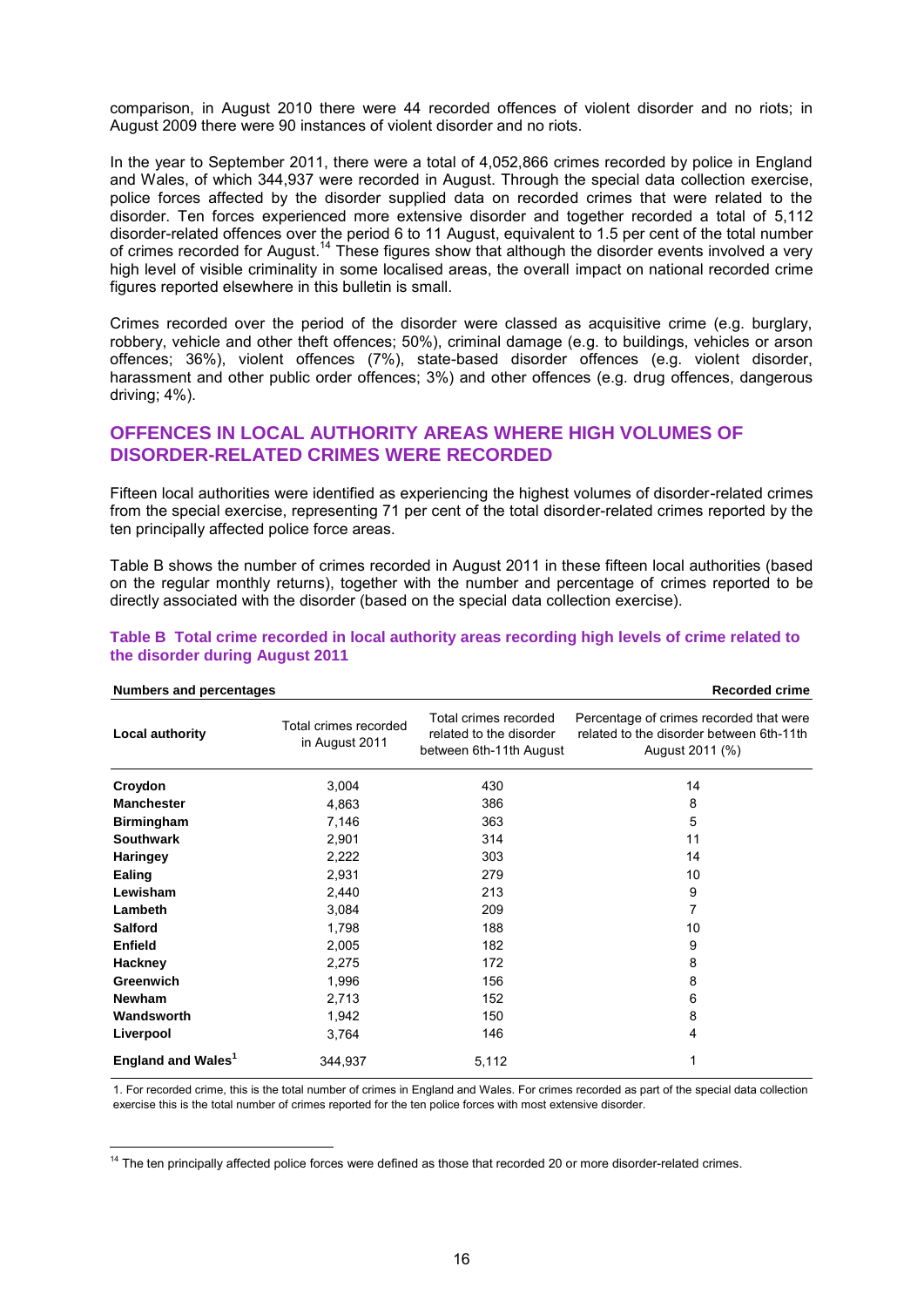comparison, in August 2010 there were 44 recorded offences of violent disorder and no riots; in August 2009 there were 90 instances of violent disorder and no riots.

In the year to September 2011, there were a total of 4,052,866 crimes recorded by police in England and Wales, of which 344,937 were recorded in August. Through the special data collection exercise, police forces affected by the disorder supplied data on recorded crimes that were related to the disorder. Ten forces experienced more extensive disorder and together recorded a total of 5,112 disorder-related offences over the period 6 to 11 August, equivalent to 1.5 per cent of the total number of crimes recorded for August.<sup>14</sup> These figures show that although the disorder events involved a very high level of visible criminality in some localised areas, the overall impact on national recorded crime figures reported elsewhere in this bulletin is small.

Crimes recorded over the period of the disorder were classed as acquisitive crime (e.g. burglary, robbery, vehicle and other theft offences; 50%), criminal damage (e.g. to buildings, vehicles or arson offences; 36%), violent offences (7%), state-based disorder offences (e.g. violent disorder, harassment and other public order offences; 3%) and other offences (e.g. drug offences, dangerous driving; 4%).

#### **OFFENCES IN LOCAL AUTHORITY AREAS WHERE HIGH VOLUMES OF DISORDER-RELATED CRIMES WERE RECORDED**

Fifteen local authorities were identified as experiencing the highest volumes of disorder-related crimes from the special exercise, representing 71 per cent of the total disorder-related crimes reported by the ten principally affected police force areas.

Table B shows the number of crimes recorded in August 2011 in these fifteen local authorities (based on the regular monthly returns), together with the number and percentage of crimes reported to be directly associated with the disorder (based on the special data collection exercise).

| <b>Numbers and percentages</b> |                                         |                                                                             | <b>Recorded crime</b>                                                                                  |
|--------------------------------|-----------------------------------------|-----------------------------------------------------------------------------|--------------------------------------------------------------------------------------------------------|
| <b>Local authority</b>         | Total crimes recorded<br>in August 2011 | Total crimes recorded<br>related to the disorder<br>between 6th-11th August | Percentage of crimes recorded that were<br>related to the disorder between 6th-11th<br>August 2011 (%) |
| Croydon                        | 3,004                                   | 430                                                                         | 14                                                                                                     |
| <b>Manchester</b>              | 4,863                                   | 386                                                                         | 8                                                                                                      |
| <b>Birmingham</b>              | 7,146                                   | 363                                                                         | 5                                                                                                      |
| <b>Southwark</b>               | 2,901                                   | 314                                                                         | 11                                                                                                     |
| <b>Haringey</b>                | 2,222                                   | 303                                                                         | 14                                                                                                     |
| Ealing                         | 2,931                                   | 279                                                                         | 10                                                                                                     |
| Lewisham                       | 2,440                                   | 213                                                                         | 9                                                                                                      |
| Lambeth                        | 3,084                                   | 209                                                                         | 7                                                                                                      |
| <b>Salford</b>                 | 1,798                                   | 188                                                                         | 10                                                                                                     |
| <b>Enfield</b>                 | 2,005                                   | 182                                                                         | 9                                                                                                      |
| Hackney                        | 2,275                                   | 172                                                                         | 8                                                                                                      |
| Greenwich                      | 1,996                                   | 156                                                                         | 8                                                                                                      |
| <b>Newham</b>                  | 2,713                                   | 152                                                                         | 6                                                                                                      |
| Wandsworth                     | 1,942                                   | 150                                                                         | 8                                                                                                      |
| Liverpool                      | 3,764                                   | 146                                                                         | 4                                                                                                      |
| England and Wales <sup>1</sup> | 344,937                                 | 5,112                                                                       |                                                                                                        |

#### **Table B Total crime recorded in local authority areas recording high levels of crime related to the disorder during August 2011**

1. For recorded crime, this is the total number of crimes in England and Wales. For crimes recorded as part of the special data collection exercise this is the total number of crimes reported for the ten police forces with most extensive disorder.

 $14$  The ten principally affected police forces were defined as those that recorded 20 or more disorder-related crimes.

 $\overline{a}$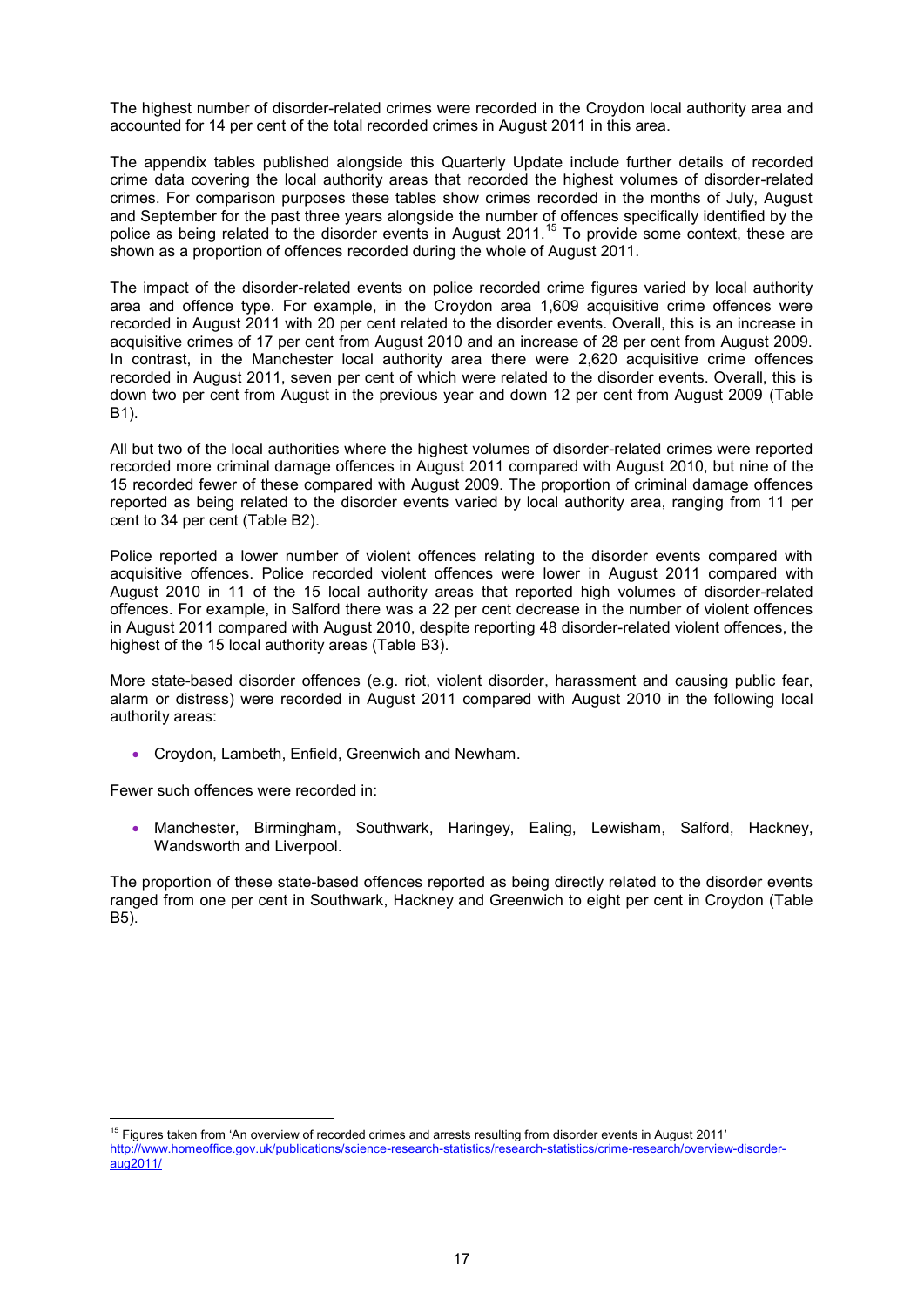The highest number of disorder-related crimes were recorded in the Croydon local authority area and accounted for 14 per cent of the total recorded crimes in August 2011 in this area.

The appendix tables published alongside this Quarterly Update include further details of recorded crime data covering the local authority areas that recorded the highest volumes of disorder-related crimes. For comparison purposes these tables show crimes recorded in the months of July, August and September for the past three years alongside the number of offences specifically identified by the police as being related to the disorder events in August 2011.<sup>15</sup> To provide some context, these are shown as a proportion of offences recorded during the whole of August 2011.

The impact of the disorder-related events on police recorded crime figures varied by local authority area and offence type. For example, in the Croydon area 1,609 acquisitive crime offences were recorded in August 2011 with 20 per cent related to the disorder events. Overall, this is an increase in acquisitive crimes of 17 per cent from August 2010 and an increase of 28 per cent from August 2009. In contrast, in the Manchester local authority area there were 2,620 acquisitive crime offences recorded in August 2011, seven per cent of which were related to the disorder events. Overall, this is down two per cent from August in the previous year and down 12 per cent from August 2009 (Table B1).

All but two of the local authorities where the highest volumes of disorder-related crimes were reported recorded more criminal damage offences in August 2011 compared with August 2010, but nine of the 15 recorded fewer of these compared with August 2009. The proportion of criminal damage offences reported as being related to the disorder events varied by local authority area, ranging from 11 per cent to 34 per cent (Table B2).

Police reported a lower number of violent offences relating to the disorder events compared with acquisitive offences. Police recorded violent offences were lower in August 2011 compared with August 2010 in 11 of the 15 local authority areas that reported high volumes of disorder-related offences. For example, in Salford there was a 22 per cent decrease in the number of violent offences in August 2011 compared with August 2010, despite reporting 48 disorder-related violent offences, the highest of the 15 local authority areas (Table B3).

More state-based disorder offences (e.g. riot, violent disorder, harassment and causing public fear, alarm or distress) were recorded in August 2011 compared with August 2010 in the following local authority areas:

Croydon, Lambeth, Enfield, Greenwich and Newham.

Fewer such offences were recorded in:

 $\overline{a}$ 

 Manchester, Birmingham, Southwark, Haringey, Ealing, Lewisham, Salford, Hackney, Wandsworth and Liverpool.

The proportion of these state-based offences reported as being directly related to the disorder events ranged from one per cent in Southwark, Hackney and Greenwich to eight per cent in Croydon (Table B5).

 $15$  Figures taken from 'An overview of recorded crimes and arrests resulting from disorder events in August 2011' [http://www.homeoffice.gov.uk/publications/science-research-statistics/research-statistics/crime-research/overview-disorder](http://www.homeoffice.gov.uk/publications/science-research-statistics/research-statistics/crime-research/overview-disorder-aug2011/)[aug2011/](http://www.homeoffice.gov.uk/publications/science-research-statistics/research-statistics/crime-research/overview-disorder-aug2011/)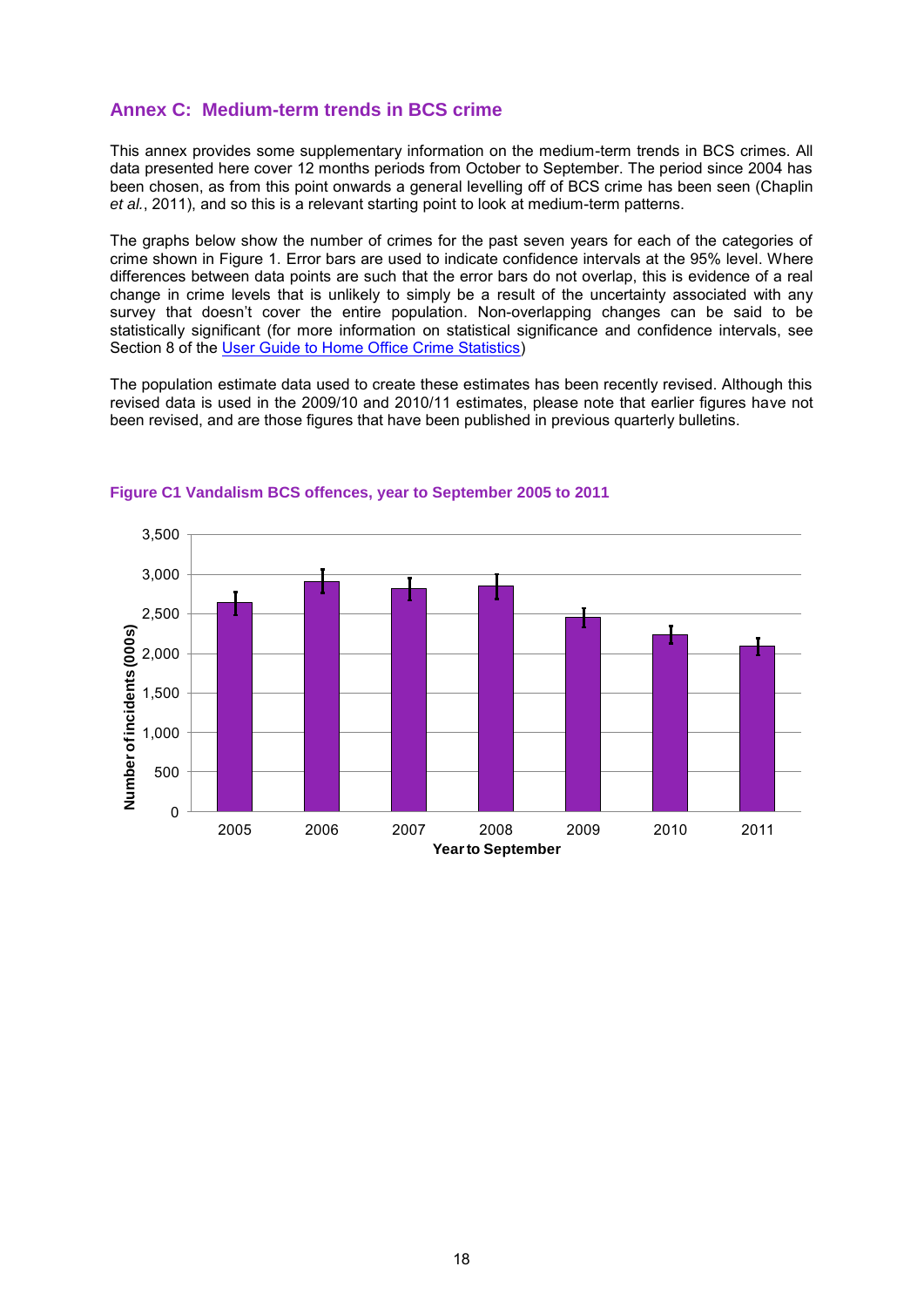#### **Annex C: Medium-term trends in BCS crime**

This annex provides some supplementary information on the medium-term trends in BCS crimes. All data presented here cover 12 months periods from October to September. The period since 2004 has been chosen, as from this point onwards a general levelling off of BCS crime has been seen (Chaplin *et al.*, 2011), and so this is a relevant starting point to look at medium-term patterns.

The graphs below show the number of crimes for the past seven years for each of the categories of crime shown in Figure 1. Error bars are used to indicate confidence intervals at the 95% level. Where differences between data points are such that the error bars do not overlap, this is evidence of a real change in crime levels that is unlikely to simply be a result of the uncertainty associated with any survey that doesn't cover the entire population. Non-overlapping changes can be said to be statistically significant (for more information on statistical significance and confidence intervals, see Section 8 of the [User Guide to Home Office Crime Statistics\)](http://www.homeoffice.gov.uk/publications/science-research-statistics/research-statistics/crime-research/user-guide-crime-statistics/)

The population estimate data used to create these estimates has been recently revised. Although this revised data is used in the 2009/10 and 2010/11 estimates, please note that earlier figures have not been revised, and are those figures that have been published in previous quarterly bulletins.



#### **Figure C1 Vandalism BCS offences, year to September 2005 to 2011**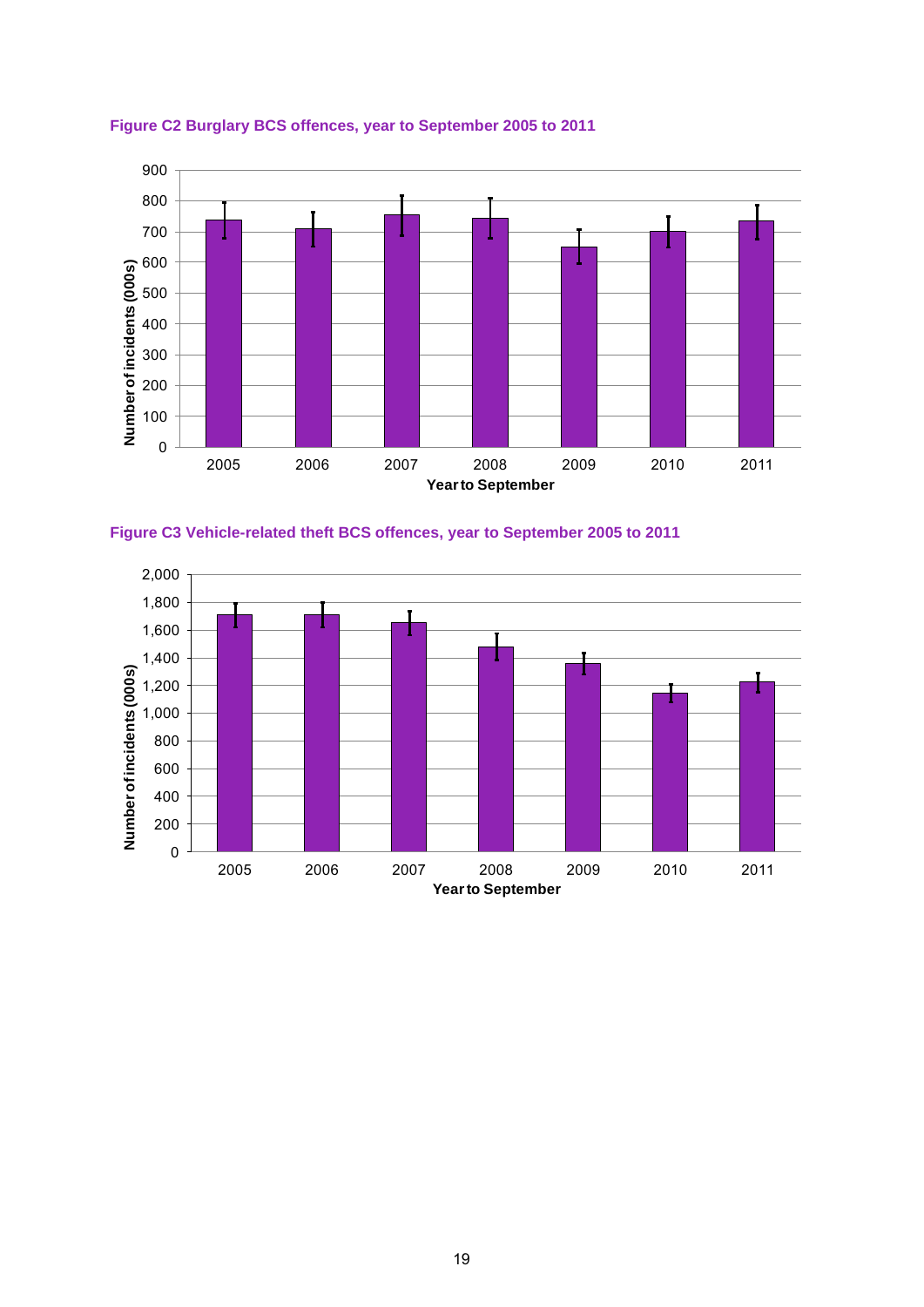

#### **Figure C2 Burglary BCS offences, year to September 2005 to 2011**



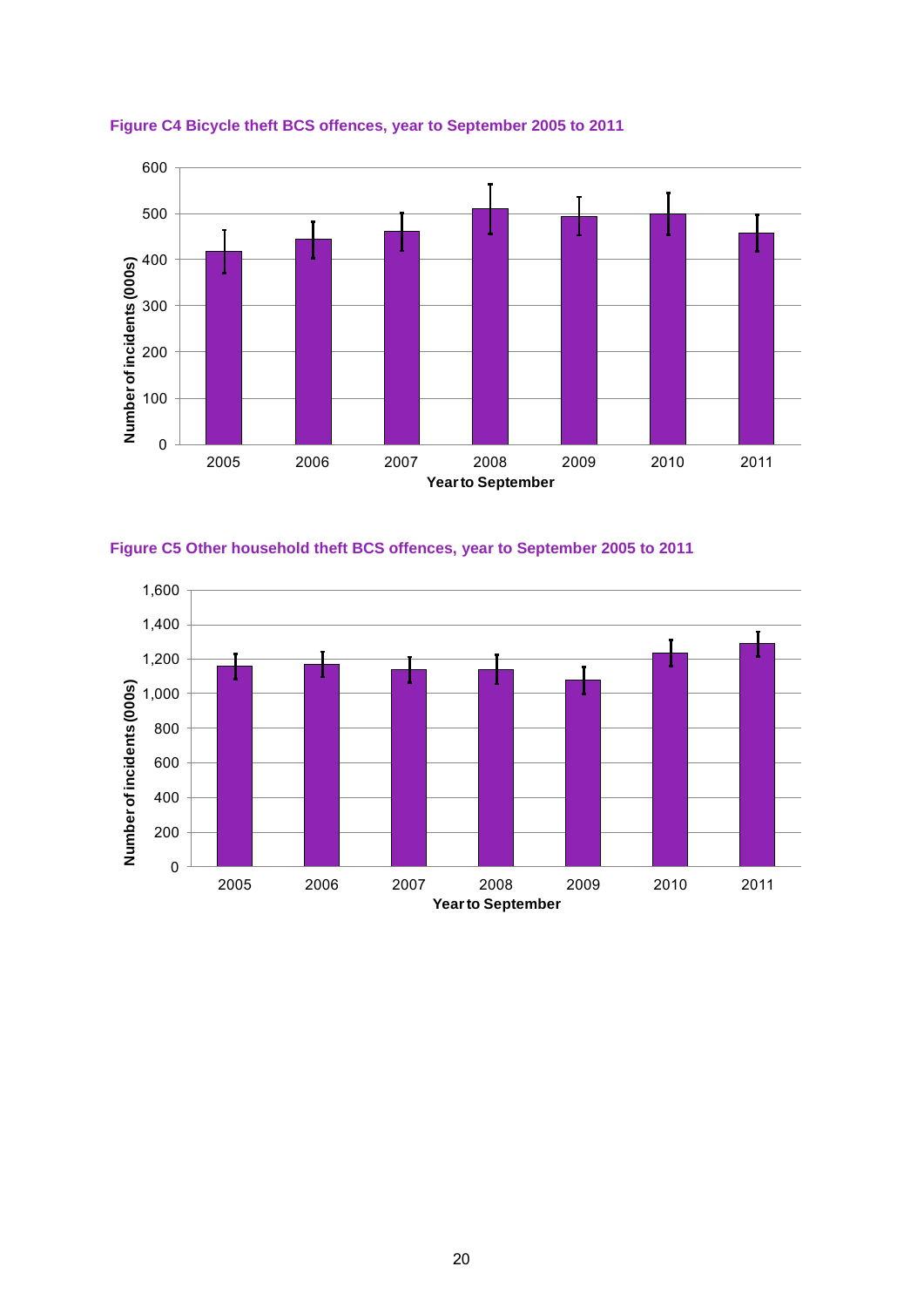





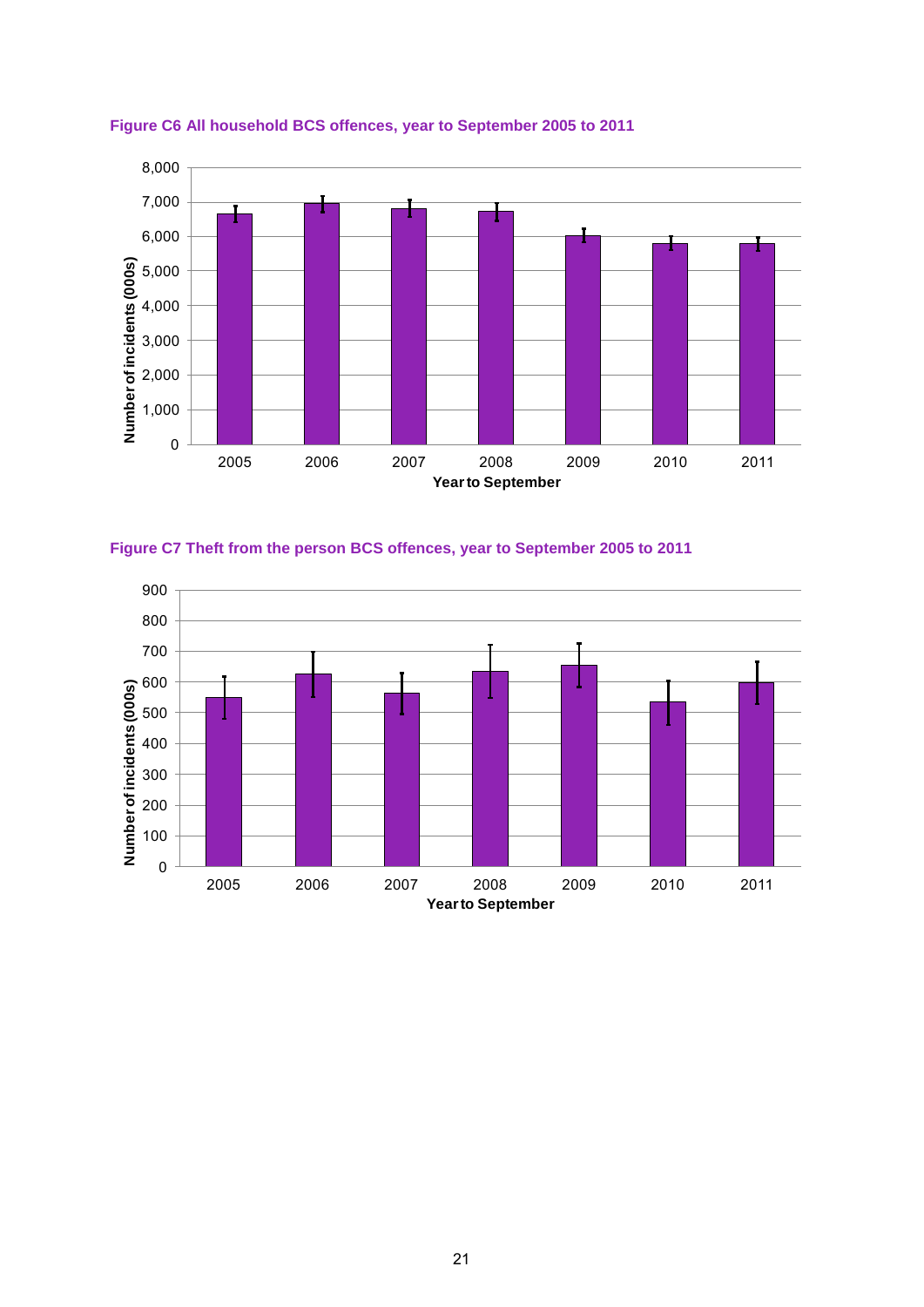





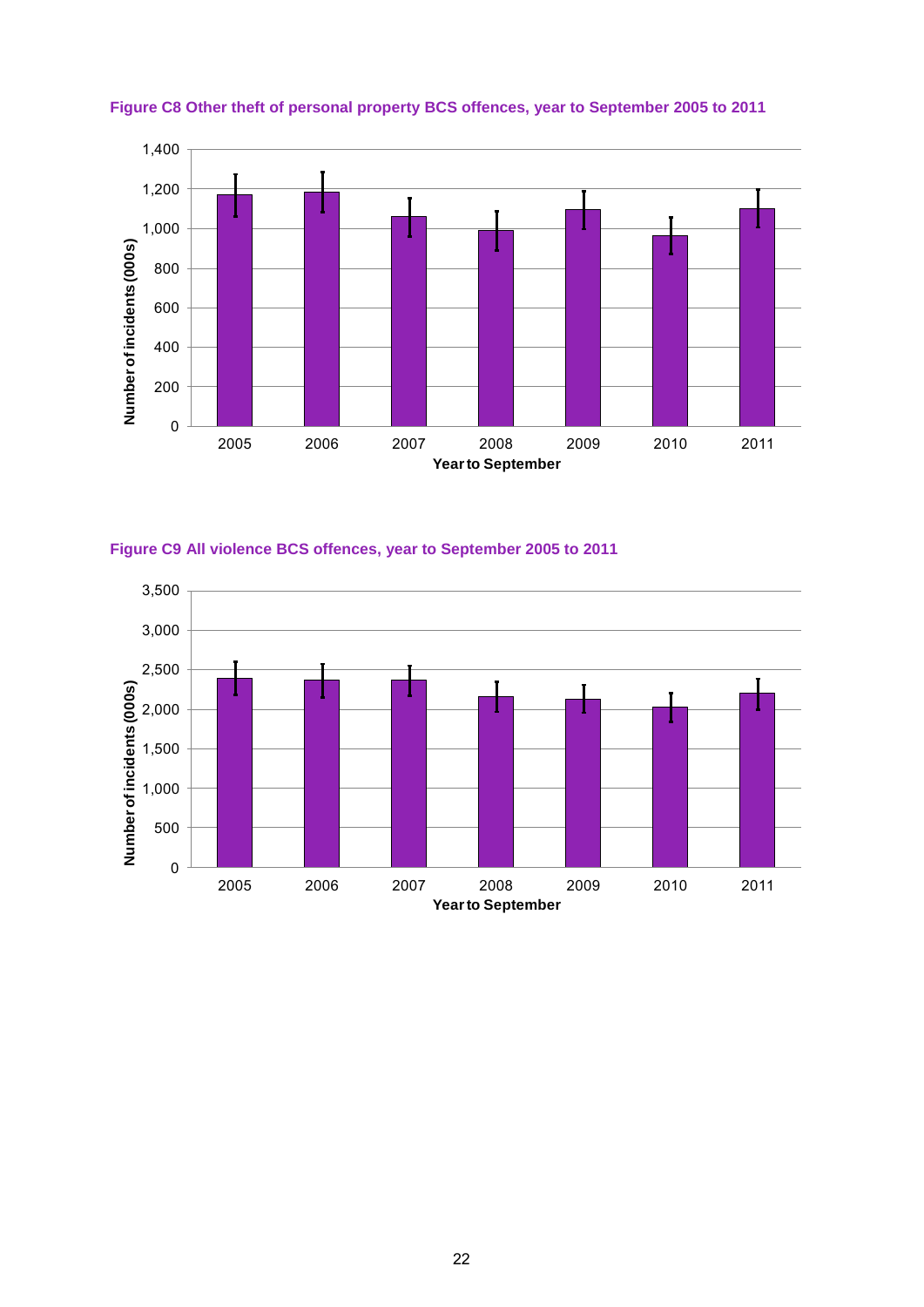

**Figure C8 Other theft of personal property BCS offences, year to September 2005 to 2011** 



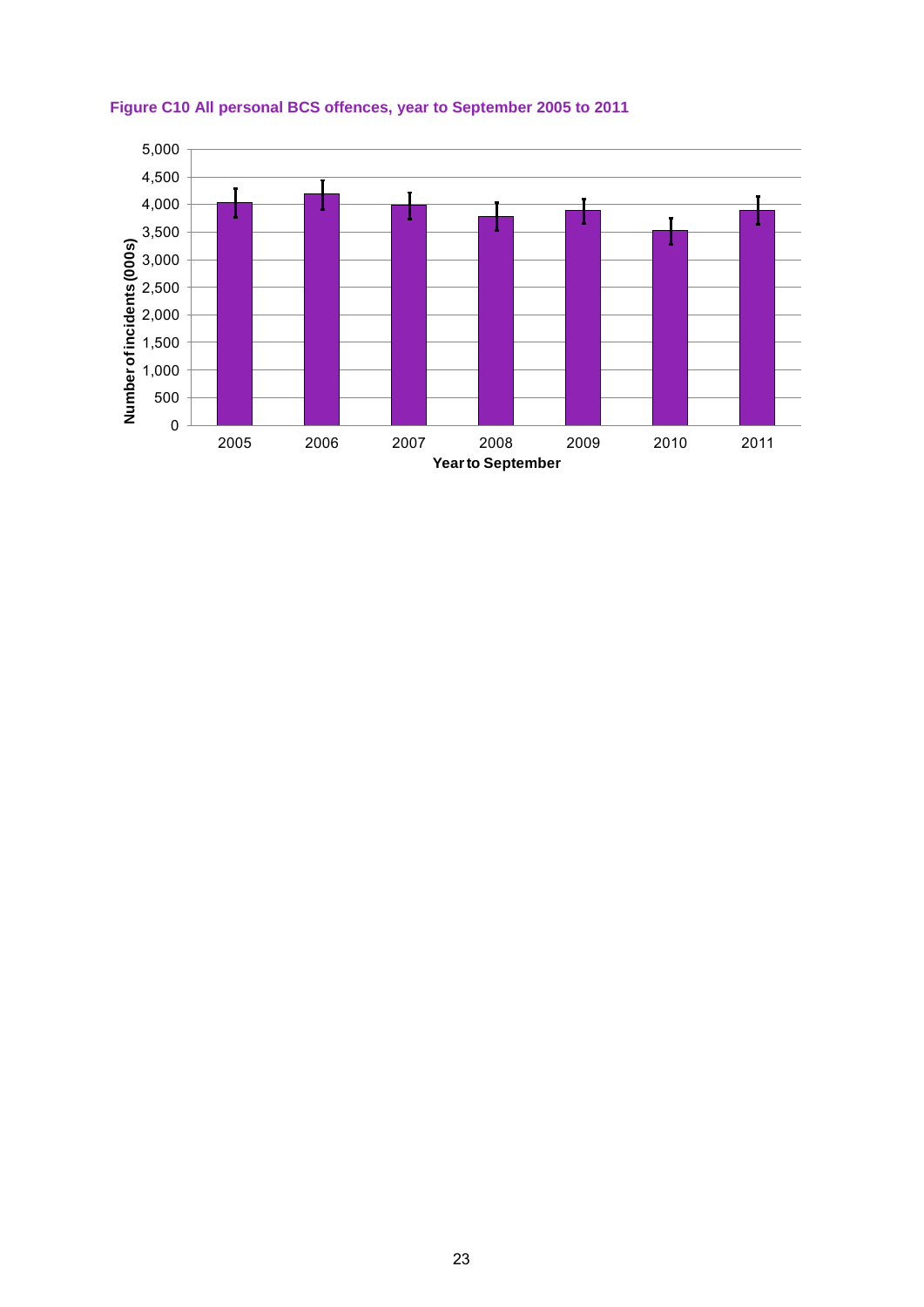

#### **Figure C10 All personal BCS offences, year to September 2005 to 2011**